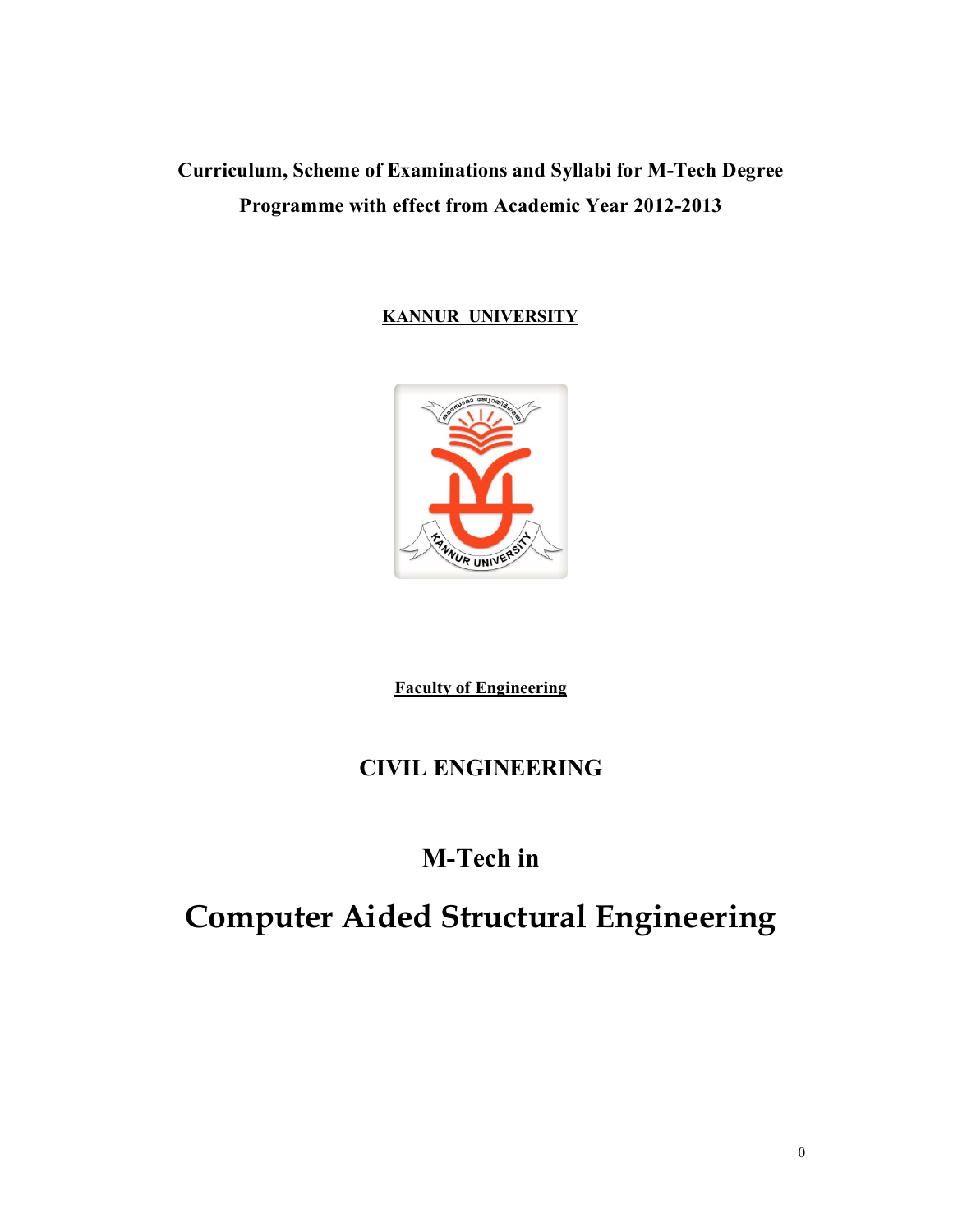# **Curriculum, Scheme of Examinations and Syllabi for M-Tech Degree Programme with effect from Academic Year 2012-2013**

# **KANNUR UNIVERSITY**



**Faculty of Engineering**

# **CIVIL ENGINEERING**

# **M-Tech in**

# **Computer Aided Structural Engineering**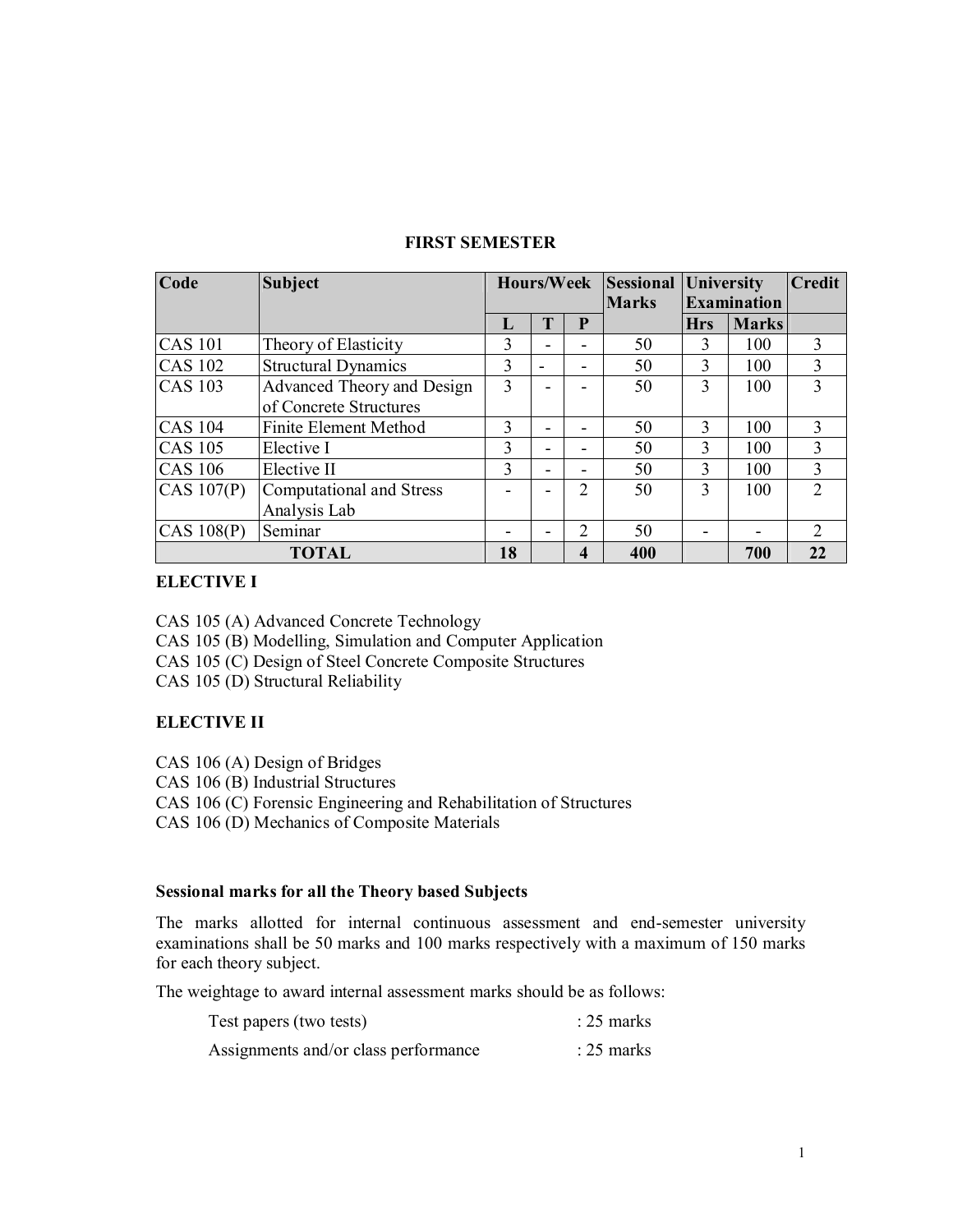| Code                 | <b>Subject</b>                  |              |                          | Hours/Week               | <b>Sessional University</b> |               | <b>Credit</b>      |               |  |  |
|----------------------|---------------------------------|--------------|--------------------------|--------------------------|-----------------------------|---------------|--------------------|---------------|--|--|
|                      |                                 |              |                          |                          | <b>Marks</b>                |               | <b>Examination</b> |               |  |  |
|                      |                                 | $\mathbf{L}$ | T                        | P                        |                             | <b>Hrs</b>    | <b>Marks</b>       |               |  |  |
| <b>CAS 101</b>       | Theory of Elasticity            | 3            |                          |                          | 50                          | $\mathbf{3}$  | 100                | 3             |  |  |
| <b>CAS 102</b>       | <b>Structural Dynamics</b>      | 3            |                          | $\overline{\phantom{0}}$ | 50                          | $\mathcal{E}$ | 100                | $\mathcal{E}$ |  |  |
| <b>CAS 103</b>       | Advanced Theory and Design      | 3            |                          |                          | 50                          | 3             | 100                | 3             |  |  |
|                      | of Concrete Structures          |              |                          |                          |                             |               |                    |               |  |  |
| <b>CAS 104</b>       | <b>Finite Element Method</b>    | 3            | -                        |                          | 50                          | $\mathbf{3}$  | 100                | $\mathbf{3}$  |  |  |
| $\overline{CAS}$ 105 | Elective I                      | 3            |                          |                          | 50                          | 3             | 100                | 3             |  |  |
| <b>CAS 106</b>       | Elective II                     | 3            | $\overline{\phantom{0}}$ |                          | 50                          | 3             | 100                | 3             |  |  |
| CAS 107(P)           | <b>Computational and Stress</b> |              | $\overline{\phantom{0}}$ | $\mathfrak{D}$           | 50                          | 3             | 100                | $\mathcal{D}$ |  |  |
|                      | Analysis Lab                    |              |                          |                          |                             |               |                    |               |  |  |
| CAS 108(P)           | Seminar                         |              |                          | 2                        | 50                          |               |                    | 2             |  |  |
|                      | <b>TOTAL</b>                    | 18           |                          | 4                        | 400                         |               | 700                | 22            |  |  |

# **FIRST SEMESTER**

# **ELECTIVE I**

CAS 105 (A) Advanced Concrete Technology CAS 105 (B) Modelling, Simulation and Computer Application CAS 105 (C) Design of Steel Concrete Composite Structures CAS 105 (D) Structural Reliability

# **ELECTIVE II**

CAS 106 (A) Design of Bridges

CAS 106 (B) Industrial Structures

CAS 106 (C) Forensic Engineering and Rehabilitation of Structures

CAS 106 (D) Mechanics of Composite Materials

# **Sessional marks for all the Theory based Subjects**

The marks allotted for internal continuous assessment and end-semester university examinations shall be 50 marks and 100 marks respectively with a maximum of 150 marks for each theory subject.

The weightage to award internal assessment marks should be as follows:

| Test papers (two tests)              | $: 25$ marks |
|--------------------------------------|--------------|
| Assignments and/or class performance | $: 25$ marks |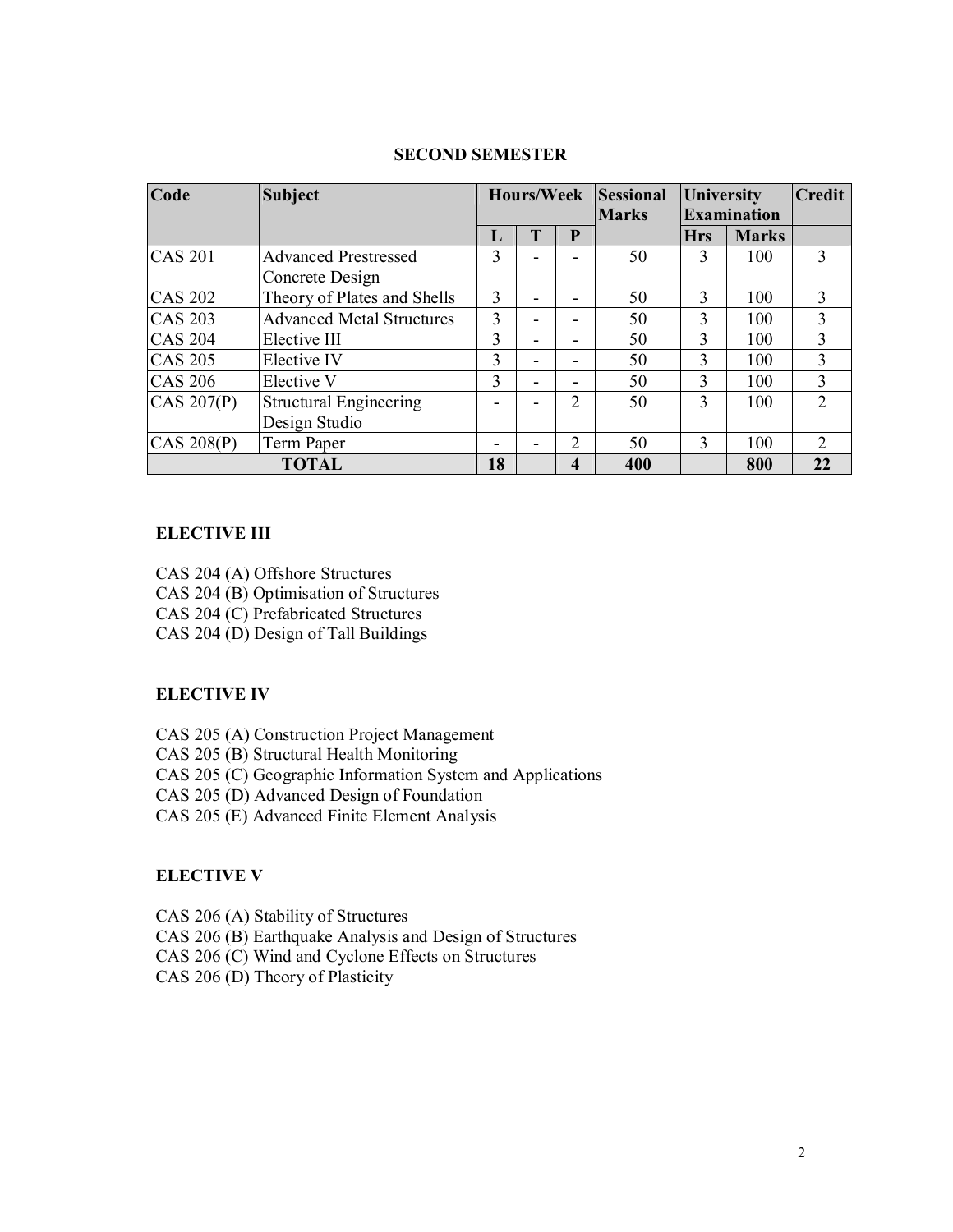| Code           |                                  | Hours/Week |              | <b>Sessional</b>         |              | <b>University</b> |                    |                |  |
|----------------|----------------------------------|------------|--------------|--------------------------|--------------|-------------------|--------------------|----------------|--|
|                |                                  |            |              |                          | <b>Marks</b> |                   | <b>Examination</b> |                |  |
|                |                                  | Ъ.         | $\mathbf{r}$ | P                        |              | <b>Hrs</b>        | <b>Marks</b>       |                |  |
| $CAS$ 201      | <b>Advanced Prestressed</b>      | 3          |              |                          | 50           |                   | 100                | 3              |  |
|                | Concrete Design                  |            |              |                          |              |                   |                    |                |  |
| <b>CAS 202</b> | Theory of Plates and Shells      | 3          |              |                          | 50           | $\mathcal{E}$     | 100                | 3              |  |
| <b>CAS 203</b> | <b>Advanced Metal Structures</b> | 3          |              | -                        | 50           | 3                 | 100                | 3              |  |
| <b>CAS 204</b> | Elective III                     | 3          |              | $\overline{\phantom{0}}$ | 50           | 3                 | 100                | 3              |  |
| <b>CAS 205</b> | Elective IV                      | 3          |              |                          | 50           | 3                 | 100                | 3              |  |
| <b>CAS 206</b> | Elective V                       | 3          |              | $\overline{\phantom{0}}$ | 50           | 3                 | 100                | 3              |  |
| CAS $207(P)$   | <b>Structural Engineering</b>    |            |              | $\overline{2}$           | 50           | 3                 | 100                | $\overline{2}$ |  |
|                | Design Studio                    |            |              |                          |              |                   |                    |                |  |
| CAS 208(P)     | Term Paper                       |            |              | $\overline{c}$           | 50           | $\mathbf{3}$      | 100                | 2              |  |
|                | <b>TOTAL</b>                     | 18         |              | 4                        | 400          |                   | 800                | 22             |  |

# **SECOND SEMESTER**

# **ELECTIVE III**

CAS 204 (A) Offshore Structures CAS 204 (B) Optimisation of Structures CAS 204 (C) Prefabricated Structures CAS 204 (D) Design of Tall Buildings

# **ELECTIVE IV**

CAS 205 (A) Construction Project Management

CAS 205 (B) Structural Health Monitoring

CAS 205 (C) Geographic Information System and Applications

CAS 205 (D) Advanced Design of Foundation

CAS 205 (E) Advanced Finite Element Analysis

# **ELECTIVE V**

CAS 206 (A) Stability of Structures CAS 206 (B) Earthquake Analysis and Design of Structures CAS 206 (C) Wind and Cyclone Effects on Structures CAS 206 (D) Theory of Plasticity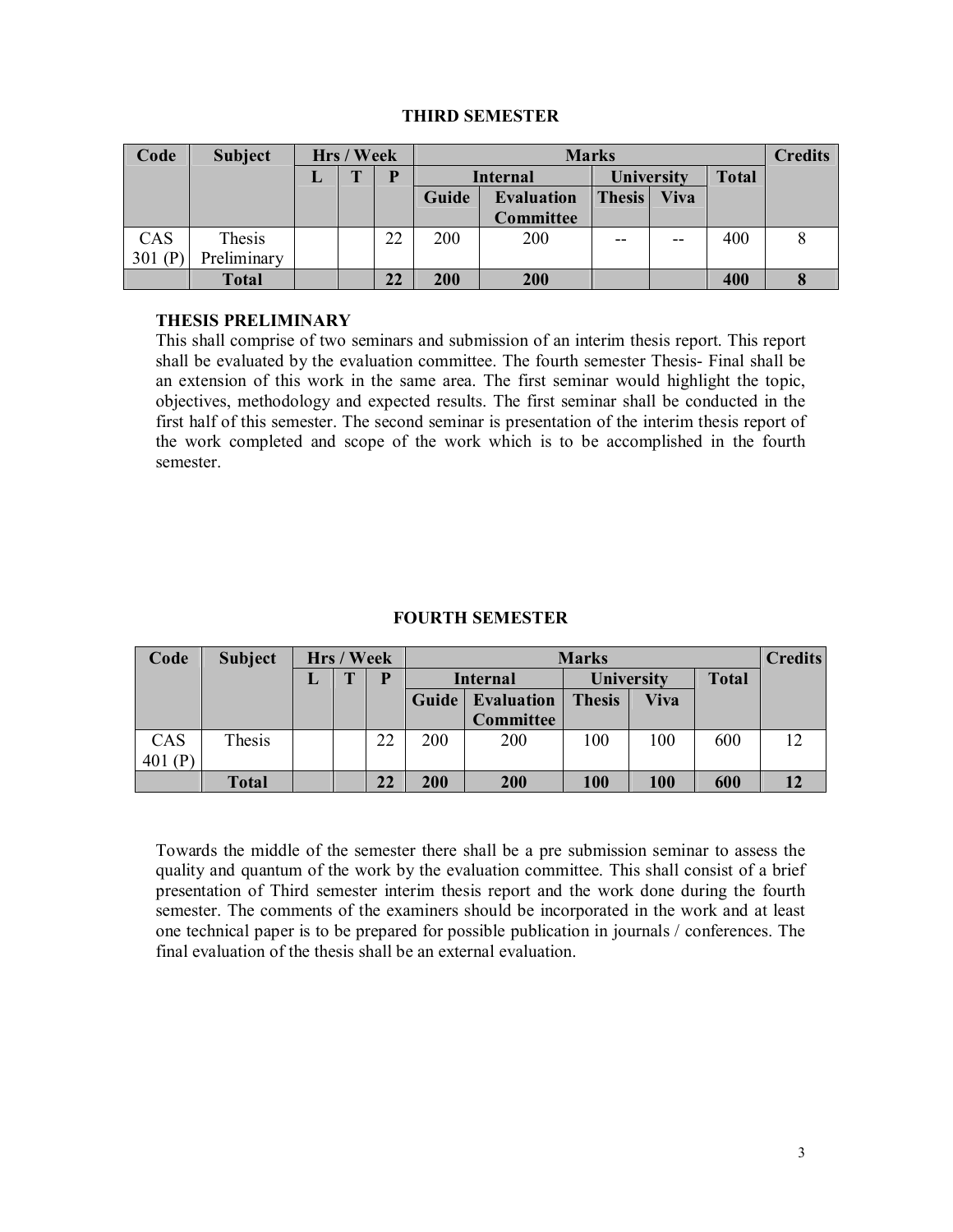# **THIRD SEMESTER**

| Code      | <b>Subject</b> |   | Hrs / Week   |    |                            |           | <b>Marks</b>      | <b>Credits</b> |              |  |
|-----------|----------------|---|--------------|----|----------------------------|-----------|-------------------|----------------|--------------|--|
|           |                | L | $\mathbf{T}$ | D  | <b>Internal</b>            |           | <b>University</b> |                | <b>Total</b> |  |
|           |                |   |              |    | Guide<br><b>Evaluation</b> |           | <b>Thesis</b>     | <b>Viva</b>    |              |  |
|           |                |   |              |    |                            | Committee |                   |                |              |  |
| CAS       | Thesis         |   |              | 22 | 200                        | 200       |                   | $- -$          | 400          |  |
| 301 $(P)$ | Preliminary    |   |              |    |                            |           |                   |                |              |  |
|           | <b>Total</b>   |   |              | 22 | 200                        | 200       |                   |                | 400          |  |

# **THESIS PRELIMINARY**

This shall comprise of two seminars and submission of an interim thesis report. This report shall be evaluated by the evaluation committee. The fourth semester Thesis- Final shall be an extension of this work in the same area. The first seminar would highlight the topic, objectives, methodology and expected results. The first seminar shall be conducted in the first half of this semester. The second seminar is presentation of the interim thesis report of the work completed and scope of the work which is to be accomplished in the fourth semester.

# **FOURTH SEMESTER**

| Code      | <b>Subject</b> |   | Hrs / Week   |    |                                         |                  | <b>Marks</b>      | <b>Credits</b> |              |     |
|-----------|----------------|---|--------------|----|-----------------------------------------|------------------|-------------------|----------------|--------------|-----|
|           |                | ┚ | $\mathbf{r}$ |    | <b>Internal</b>                         |                  | <b>University</b> |                | <b>Total</b> |     |
|           |                |   |              |    | Guide <sup> </sup><br><b>Evaluation</b> |                  | <b>Thesis</b>     | <b>Viva</b>    |              |     |
|           |                |   |              |    |                                         | <b>Committee</b> |                   |                |              |     |
| CAS       | Thesis         |   |              | 22 | 200                                     | 200              | 100               | 100            | 600          | 12. |
| 401 $(P)$ |                |   |              |    |                                         |                  |                   |                |              |     |
|           | <b>Total</b>   |   |              | 22 | 200                                     | 200              | 100               | 100            | 600          |     |

Towards the middle of the semester there shall be a pre submission seminar to assess the quality and quantum of the work by the evaluation committee. This shall consist of a brief presentation of Third semester interim thesis report and the work done during the fourth semester. The comments of the examiners should be incorporated in the work and at least one technical paper is to be prepared for possible publication in journals / conferences. The final evaluation of the thesis shall be an external evaluation.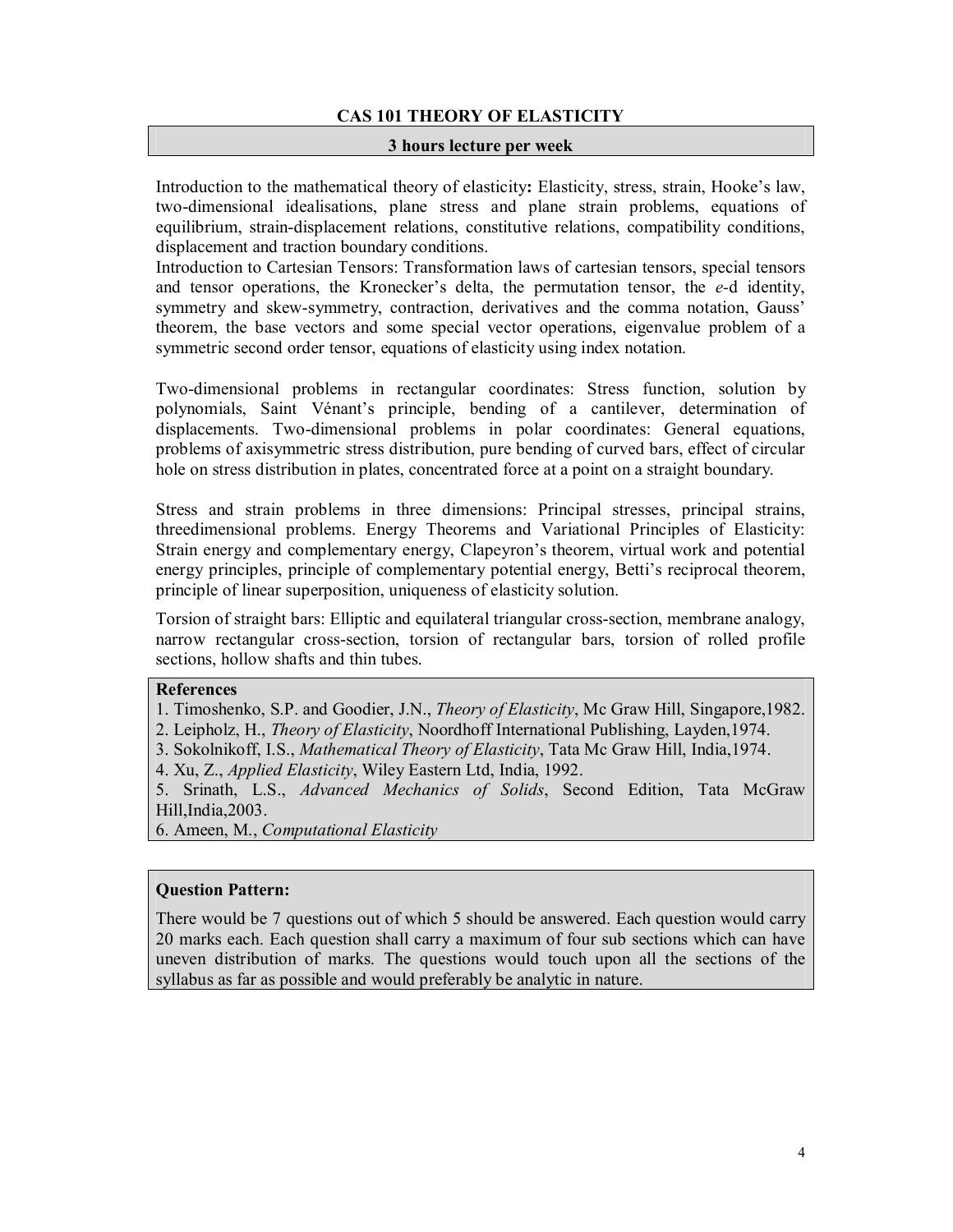# **CAS 101 THEORY OF ELASTICITY**

#### **3 hours lecture per week**

Introduction to the mathematical theory of elasticity**:** Elasticity, stress, strain, Hooke's law, two-dimensional idealisations, plane stress and plane strain problems, equations of equilibrium, strain-displacement relations, constitutive relations, compatibility conditions, displacement and traction boundary conditions.

Introduction to Cartesian Tensors: Transformation laws of cartesian tensors, special tensors and tensor operations, the Kronecker's delta, the permutation tensor, the *e-*d identity, symmetry and skew-symmetry, contraction, derivatives and the comma notation, Gauss' theorem, the base vectors and some special vector operations, eigenvalue problem of a symmetric second order tensor, equations of elasticity using index notation.

Two-dimensional problems in rectangular coordinates: Stress function, solution by polynomials, Saint Vénant's principle, bending of a cantilever, determination of displacements. Two-dimensional problems in polar coordinates: General equations, problems of axisymmetric stress distribution, pure bending of curved bars, effect of circular hole on stress distribution in plates, concentrated force at a point on a straight boundary.

Stress and strain problems in three dimensions: Principal stresses, principal strains, threedimensional problems. Energy Theorems and Variational Principles of Elasticity: Strain energy and complementary energy, Clapeyron's theorem, virtual work and potential energy principles, principle of complementary potential energy, Betti's reciprocal theorem, principle of linear superposition, uniqueness of elasticity solution.

Torsion of straight bars: Elliptic and equilateral triangular cross-section, membrane analogy, narrow rectangular cross-section, torsion of rectangular bars, torsion of rolled profile sections, hollow shafts and thin tubes.

#### **References**

- 1. Timoshenko, S.P. and Goodier, J.N., *Theory of Elasticity*, Mc Graw Hill, Singapore,1982.
- 2. Leipholz, H., *Theory of Elasticity*, Noordhoff International Publishing, Layden,1974.
- 3. Sokolnikoff, I.S., *Mathematical Theory of Elasticity*, Tata Mc Graw Hill, India,1974.
- 4. Xu, Z., *Applied Elasticity*, Wiley Eastern Ltd, India, 1992.

5. Srinath, L.S., *Advanced Mechanics of Solids*, Second Edition, Tata McGraw Hill,India,2003.

6. Ameen, M., *Computational Elasticity*

# **Question Pattern:**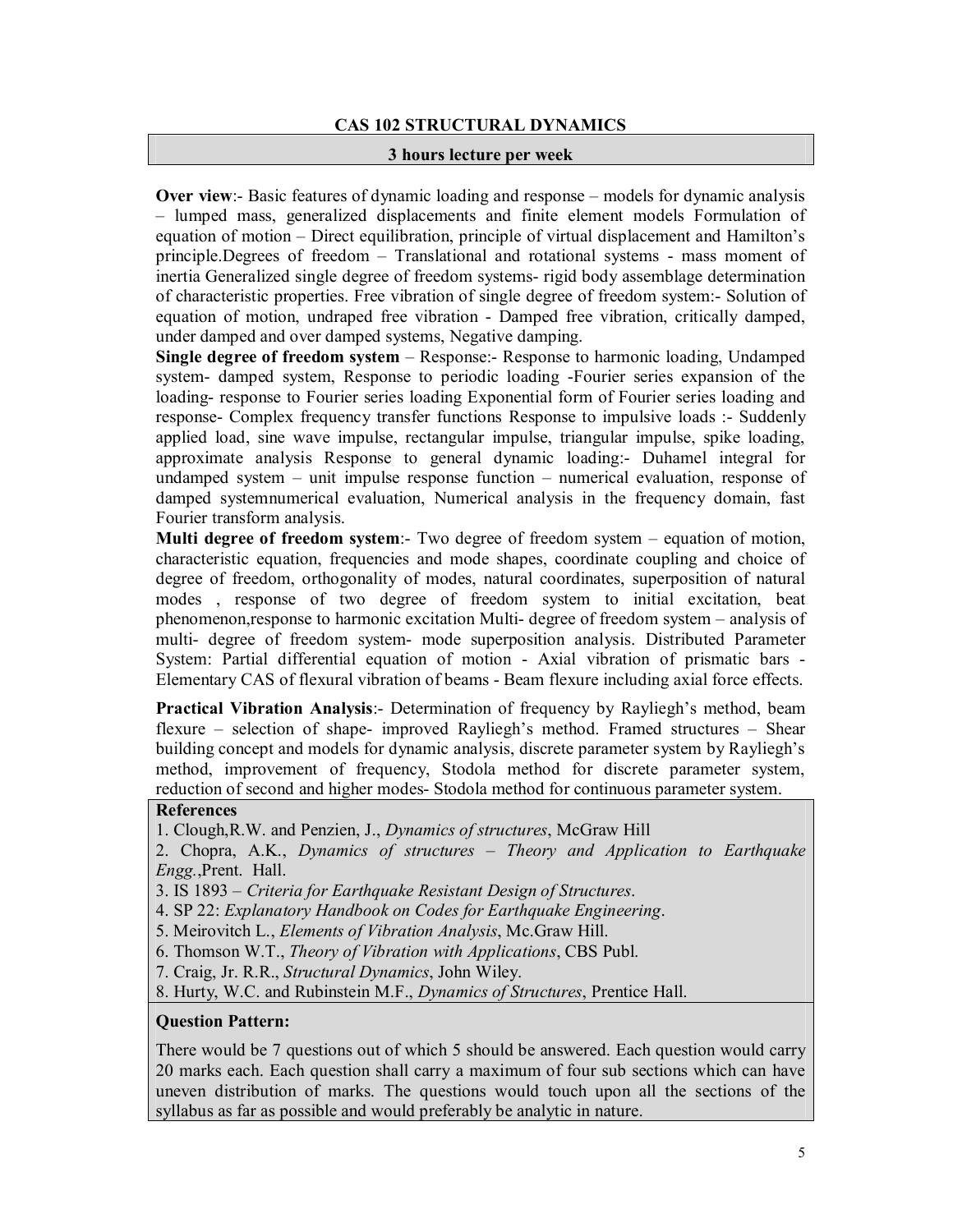# **CAS 102 STRUCTURAL DYNAMICS**

#### **3 hours lecture per week**

**Over view**:- Basic features of dynamic loading and response – models for dynamic analysis – lumped mass, generalized displacements and finite element models Formulation of equation of motion – Direct equilibration, principle of virtual displacement and Hamilton's principle.Degrees of freedom – Translational and rotational systems - mass moment of inertia Generalized single degree of freedom systems- rigid body assemblage determination of characteristic properties. Free vibration of single degree of freedom system:- Solution of equation of motion, undraped free vibration - Damped free vibration, critically damped, under damped and over damped systems, Negative damping.

**Single degree of freedom system** – Response:- Response to harmonic loading, Undamped system- damped system, Response to periodic loading -Fourier series expansion of the loading- response to Fourier series loading Exponential form of Fourier series loading and response- Complex frequency transfer functions Response to impulsive loads :- Suddenly applied load, sine wave impulse, rectangular impulse, triangular impulse, spike loading, approximate analysis Response to general dynamic loading:- Duhamel integral for undamped system – unit impulse response function – numerical evaluation, response of damped systemnumerical evaluation, Numerical analysis in the frequency domain, fast Fourier transform analysis.

**Multi degree of freedom system**:- Two degree of freedom system – equation of motion, characteristic equation, frequencies and mode shapes, coordinate coupling and choice of degree of freedom, orthogonality of modes, natural coordinates, superposition of natural modes , response of two degree of freedom system to initial excitation, beat phenomenon,response to harmonic excitation Multi- degree of freedom system – analysis of multi- degree of freedom system- mode superposition analysis. Distributed Parameter System: Partial differential equation of motion - Axial vibration of prismatic bars - Elementary CAS of flexural vibration of beams - Beam flexure including axial force effects.

**Practical Vibration Analysis**:- Determination of frequency by Rayliegh's method, beam flexure – selection of shape- improved Rayliegh's method. Framed structures – Shear building concept and models for dynamic analysis, discrete parameter system by Rayliegh's method, improvement of frequency, Stodola method for discrete parameter system, reduction of second and higher modes- Stodola method for continuous parameter system.

# **References**

1. Clough,R.W. and Penzien, J., *Dynamics of structures*, McGraw Hill

2. Chopra, A.K., *Dynamics of structures – Theory and Application to Earthquake Engg.*,Prent. Hall.

3. IS 1893 – *Criteria for Earthquake Resistant Design of Structures*.

4. SP 22: *Explanatory Handbook on Codes for Earthquake Engineering*.

5. Meirovitch L., *Elements of Vibration Analysis*, Mc.Graw Hill.

6. Thomson W.T., *Theory of Vibration with Applications*, CBS Publ.

7. Craig, Jr. R.R., *Structural Dynamics*, John Wiley.

8. Hurty, W.C. and Rubinstein M.F., *Dynamics of Structures*, Prentice Hall.

# **Question Pattern:**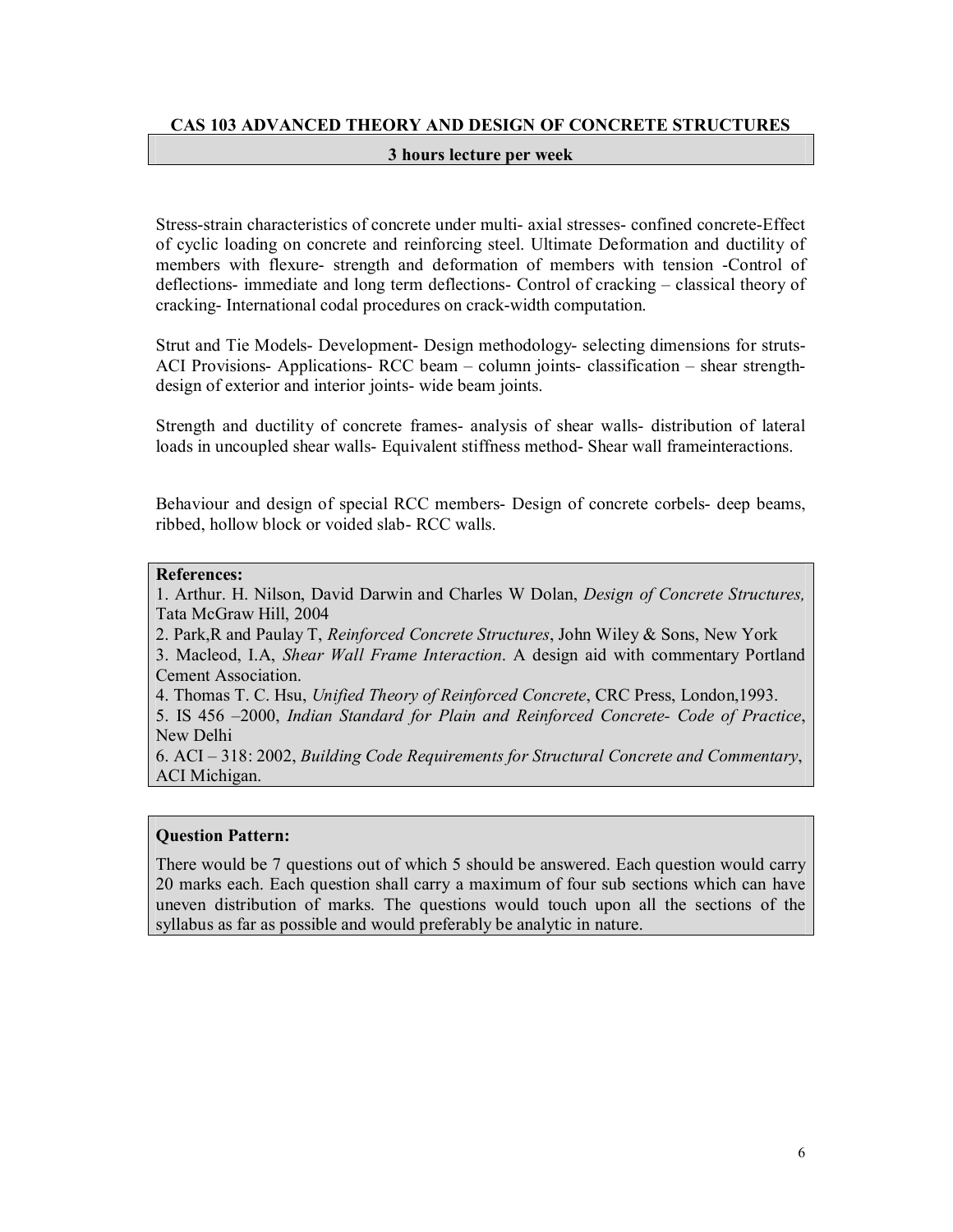# **CAS 103 ADVANCED THEORY AND DESIGN OF CONCRETE STRUCTURES**

#### **3 hours lecture per week**

Stress-strain characteristics of concrete under multi- axial stresses- confined concrete-Effect of cyclic loading on concrete and reinforcing steel. Ultimate Deformation and ductility of members with flexure- strength and deformation of members with tension -Control of deflections- immediate and long term deflections- Control of cracking – classical theory of cracking- International codal procedures on crack-width computation.

Strut and Tie Models- Development- Design methodology- selecting dimensions for struts-ACI Provisions- Applications- RCC beam – column joints- classification – shear strengthdesign of exterior and interior joints- wide beam joints.

Strength and ductility of concrete frames- analysis of shear walls- distribution of lateral loads in uncoupled shear walls- Equivalent stiffness method- Shear wall frameinteractions.

Behaviour and design of special RCC members- Design of concrete corbels- deep beams, ribbed, hollow block or voided slab- RCC walls.

# **References:**

1. Arthur. H. Nilson, David Darwin and Charles W Dolan, *Design of Concrete Structures,*  Tata McGraw Hill, 2004

2. Park,R and Paulay T, *Reinforced Concrete Structures*, John Wiley & Sons, New York

3. Macleod, I.A, *Shear Wall Frame Interaction*. A design aid with commentary Portland Cement Association.

4. Thomas T. C. Hsu, *Unified Theory of Reinforced Concrete*, CRC Press, London,1993.

5. IS 456 –2000, *Indian Standard for Plain and Reinforced Concrete- Code of Practice*, New Delhi

6. ACI – 318: 2002, *Building Code Requirements for Structural Concrete and Commentary*, ACI Michigan.

#### **Question Pattern:**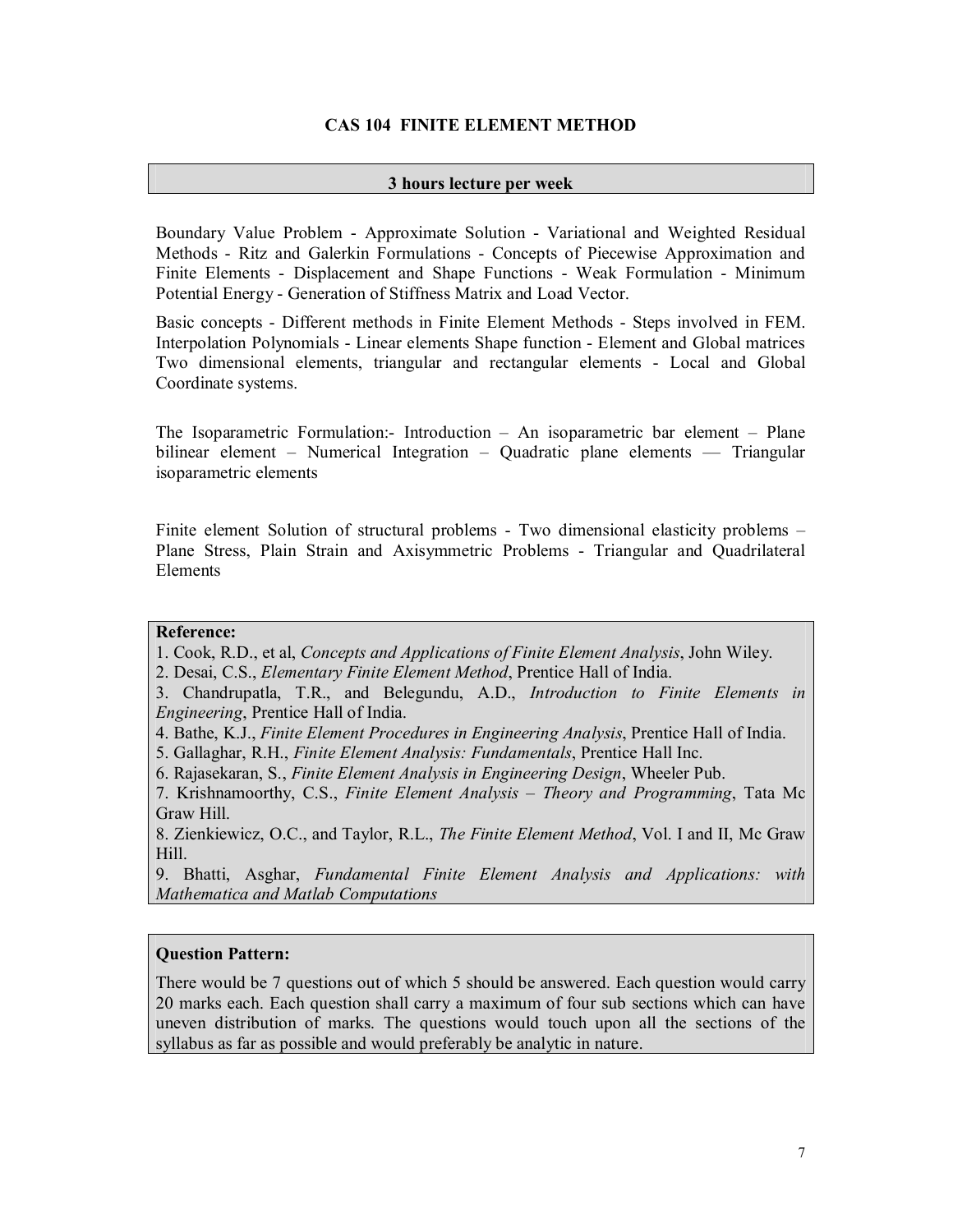# **CAS 104 FINITE ELEMENT METHOD**

#### **3 hours lecture per week**

Boundary Value Problem - Approximate Solution - Variational and Weighted Residual Methods - Ritz and Galerkin Formulations - Concepts of Piecewise Approximation and Finite Elements - Displacement and Shape Functions - Weak Formulation - Minimum Potential Energy - Generation of Stiffness Matrix and Load Vector.

Basic concepts - Different methods in Finite Element Methods - Steps involved in FEM. Interpolation Polynomials - Linear elements Shape function - Element and Global matrices Two dimensional elements, triangular and rectangular elements - Local and Global Coordinate systems.

The Isoparametric Formulation:- Introduction – An isoparametric bar element – Plane bilinear element – Numerical Integration – Quadratic plane elements — Triangular isoparametric elements

Finite element Solution of structural problems - Two dimensional elasticity problems – Plane Stress, Plain Strain and Axisymmetric Problems - Triangular and Quadrilateral Elements

# **Reference:**

1. Cook, R.D., et al, *Concepts and Applications of Finite Element Analysis*, John Wiley.

- 2. Desai, C.S., *Elementary Finite Element Method*, Prentice Hall of India.
- 3. Chandrupatla, T.R., and Belegundu, A.D., *Introduction to Finite Elements in Engineering*, Prentice Hall of India.
- 4. Bathe, K.J., *Finite Element Procedures in Engineering Analysis*, Prentice Hall of India.
- 5. Gallaghar, R.H., *Finite Element Analysis: Fundamentals*, Prentice Hall Inc.
- 6. Rajasekaran, S., *Finite Element Analysis in Engineering Design*, Wheeler Pub.
- 7. Krishnamoorthy, C.S., *Finite Element Analysis – Theory and Programming*, Tata Mc Graw Hill.

8. Zienkiewicz, O.C., and Taylor, R.L., *The Finite Element Method*, Vol. I and II, Mc Graw Hill.

9. Bhatti, Asghar, *Fundamental Finite Element Analysis and Applications: with Mathematica and Matlab Computations*

#### **Question Pattern:**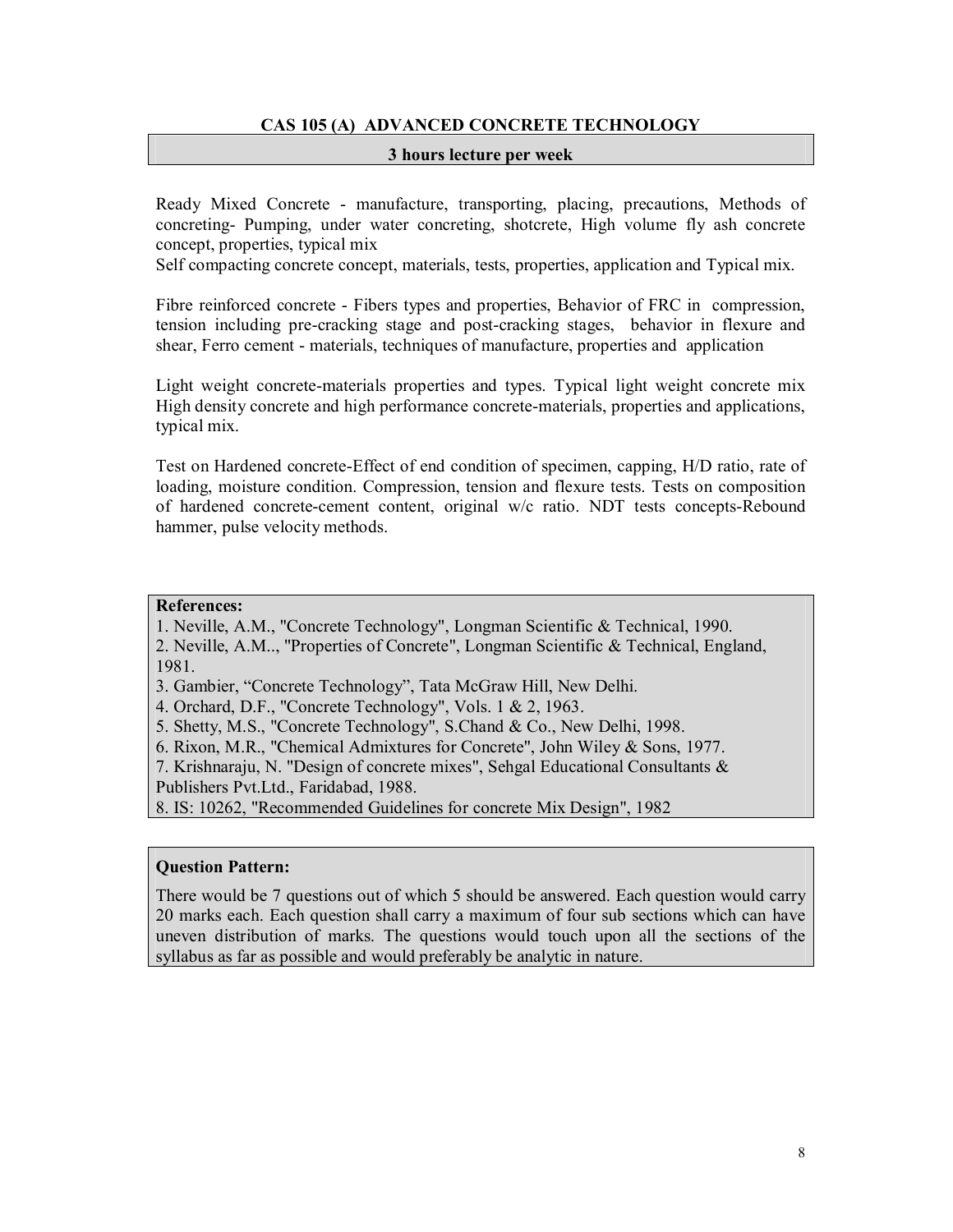# **CAS 105 (A) ADVANCED CONCRETE TECHNOLOGY**

#### **3 hours lecture per week**

Ready Mixed Concrete - manufacture, transporting, placing, precautions, Methods of concreting- Pumping, under water concreting, shotcrete, High volume fly ash concrete concept, properties, typical mix

Self compacting concrete concept, materials, tests, properties, application and Typical mix.

Fibre reinforced concrete - Fibers types and properties, Behavior of FRC in compression, tension including pre-cracking stage and post-cracking stages, behavior in flexure and shear, Ferro cement - materials, techniques of manufacture, properties and application

Light weight concrete-materials properties and types. Typical light weight concrete mix High density concrete and high performance concrete-materials, properties and applications, typical mix.

Test on Hardened concrete-Effect of end condition of specimen, capping, H/D ratio, rate of loading, moisture condition. Compression, tension and flexure tests. Tests on composition of hardened concrete-cement content, original w/c ratio. NDT tests concepts-Rebound hammer, pulse velocity methods.

# **References:**

1. Neville, A.M., "Concrete Technology", Longman Scientific & Technical, 1990. 2. Neville, A.M.., "Properties of Concrete", Longman Scientific & Technical, England, 1981.

- 3. Gambier, "Concrete Technology", Tata McGraw Hill, New Delhi.
- 4. Orchard, D.F., "Concrete Technology", Vols. 1 & 2, 1963.
- 5. Shetty, M.S., "Concrete Technology", S.Chand & Co., New Delhi, 1998.
- 6. Rixon, M.R., "Chemical Admixtures for Concrete", John Wiley & Sons, 1977.
- 7. Krishnaraju, N. "Design of concrete mixes", Sehgal Educational Consultants &
- Publishers Pvt.Ltd., Faridabad, 1988.

8. IS: 10262, "Recommended Guidelines for concrete Mix Design", 1982

# **Question Pattern:**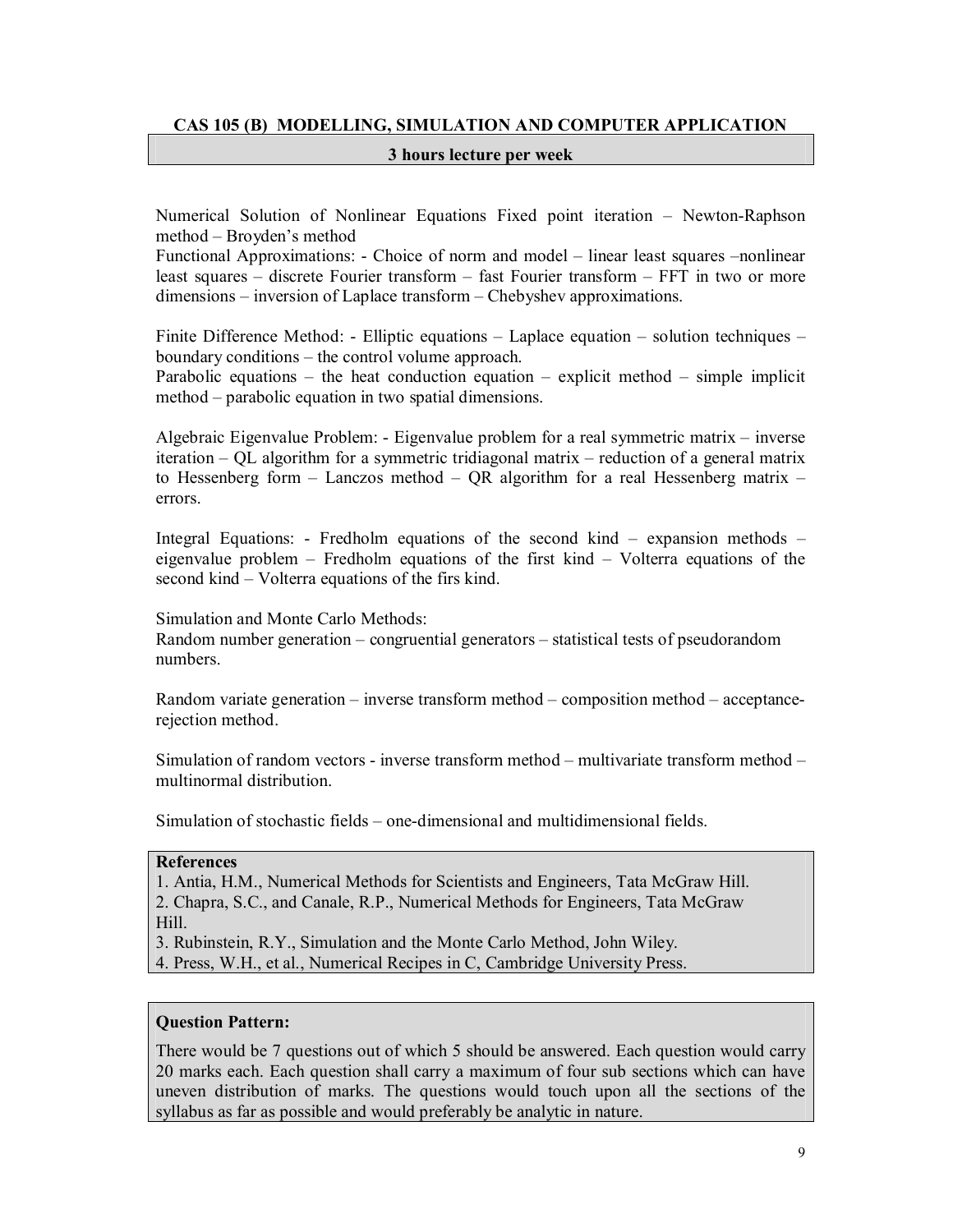# **CAS 105 (B) MODELLING, SIMULATION AND COMPUTER APPLICATION**

#### **3 hours lecture per week**

Numerical Solution of Nonlinear Equations Fixed point iteration – Newton-Raphson method – Broyden's method

Functional Approximations: - Choice of norm and model – linear least squares –nonlinear least squares – discrete Fourier transform – fast Fourier transform – FFT in two or more dimensions – inversion of Laplace transform – Chebyshev approximations.

Finite Difference Method: - Elliptic equations – Laplace equation – solution techniques – boundary conditions – the control volume approach.

Parabolic equations – the heat conduction equation – explicit method – simple implicit method – parabolic equation in two spatial dimensions.

Algebraic Eigenvalue Problem: - Eigenvalue problem for a real symmetric matrix – inverse iteration – QL algorithm for a symmetric tridiagonal matrix – reduction of a general matrix to Hessenberg form – Lanczos method – QR algorithm for a real Hessenberg matrix – errors.

Integral Equations: - Fredholm equations of the second kind – expansion methods – eigenvalue problem – Fredholm equations of the first kind – Volterra equations of the second kind – Volterra equations of the firs kind.

Simulation and Monte Carlo Methods: Random number generation – congruential generators – statistical tests of pseudorandom numbers.

Random variate generation – inverse transform method – composition method – acceptancerejection method.

Simulation of random vectors - inverse transform method – multivariate transform method – multinormal distribution.

Simulation of stochastic fields – one-dimensional and multidimensional fields.

#### **References**

1. Antia, H.M., Numerical Methods for Scientists and Engineers, Tata McGraw Hill. 2. Chapra, S.C., and Canale, R.P., Numerical Methods for Engineers, Tata McGraw Hill.

3. Rubinstein, R.Y., Simulation and the Monte Carlo Method, John Wiley. 4. Press, W.H., et al., Numerical Recipes in C, Cambridge University Press.

# **Question Pattern:**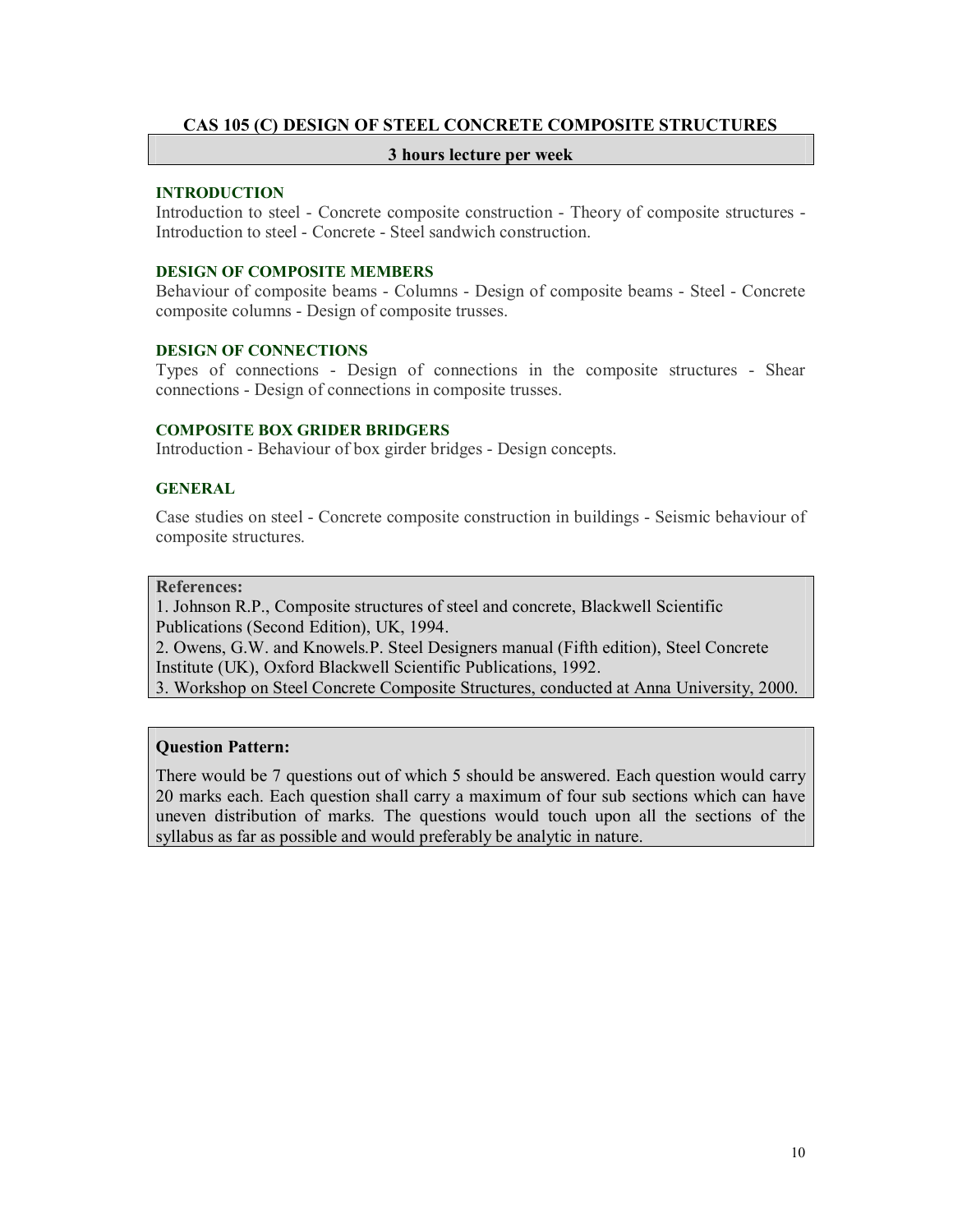# **CAS 105 (C) DESIGN OF STEEL CONCRETE COMPOSITE STRUCTURES**

#### **3 hours lecture per week**

#### **INTRODUCTION**

Introduction to steel - Concrete composite construction - Theory of composite structures - Introduction to steel - Concrete - Steel sandwich construction.

#### **DESIGN OF COMPOSITE MEMBERS**

Behaviour of composite beams - Columns - Design of composite beams - Steel - Concrete composite columns - Design of composite trusses.

# **DESIGN OF CONNECTIONS**

Types of connections - Design of connections in the composite structures - Shear connections - Design of connections in composite trusses.

#### **COMPOSITE BOX GRIDER BRIDGERS**

Introduction - Behaviour of box girder bridges - Design concepts.

# **GENERAL**

Case studies on steel - Concrete composite construction in buildings - Seismic behaviour of composite structures.

#### **References:**

1. Johnson R.P., Composite structures of steel and concrete, Blackwell Scientific Publications (Second Edition), UK, 1994.

2. Owens, G.W. and Knowels.P. Steel Designers manual (Fifth edition), Steel Concrete Institute (UK), Oxford Blackwell Scientific Publications, 1992.

3. Workshop on Steel Concrete Composite Structures, conducted at Anna University, 2000.

# **Question Pattern:**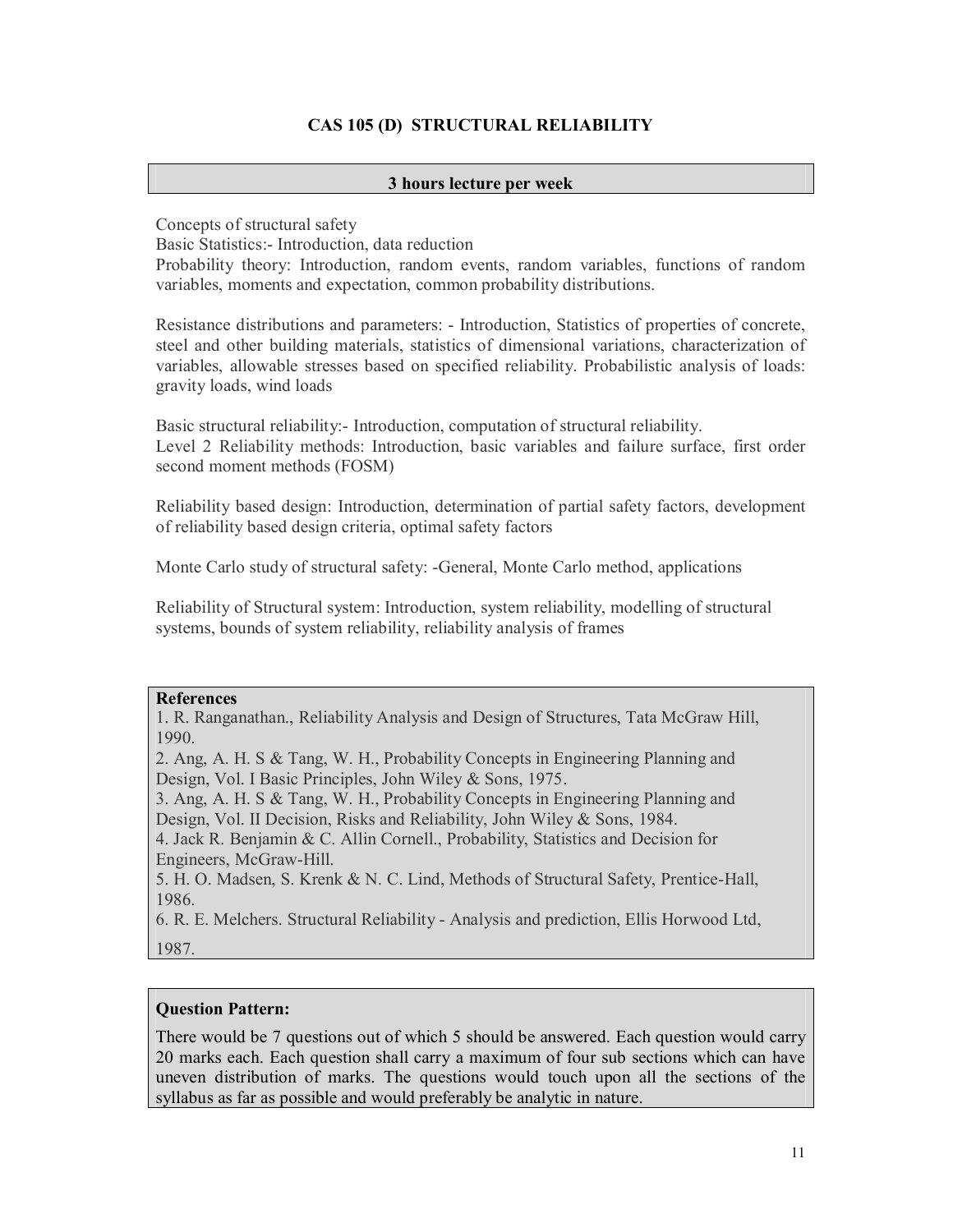# **CAS 105 (D) STRUCTURAL RELIABILITY**

# **3 hours lecture per week**

Concepts of structural safety

Basic Statistics:- Introduction, data reduction

Probability theory: Introduction, random events, random variables, functions of random variables, moments and expectation, common probability distributions.

Resistance distributions and parameters: - Introduction, Statistics of properties of concrete, steel and other building materials, statistics of dimensional variations, characterization of variables, allowable stresses based on specified reliability. Probabilistic analysis of loads: gravity loads, wind loads

Basic structural reliability:- Introduction, computation of structural reliability. Level 2 Reliability methods: Introduction, basic variables and failure surface, first order second moment methods (FOSM)

Reliability based design: Introduction, determination of partial safety factors, development of reliability based design criteria, optimal safety factors

Monte Carlo study of structural safety: -General, Monte Carlo method, applications

Reliability of Structural system: Introduction, system reliability, modelling of structural systems, bounds of system reliability, reliability analysis of frames

#### **References**

1. R. Ranganathan., Reliability Analysis and Design of Structures, Tata McGraw Hill, 1990.

2. Ang, A. H. S & Tang, W. H., Probability Concepts in Engineering Planning and Design, Vol. I Basic Principles, John Wiley & Sons, 1975.

3. Ang, A. H. S & Tang, W. H., Probability Concepts in Engineering Planning and Design, Vol. II Decision, Risks and Reliability, John Wiley & Sons, 1984.

4. Jack R. Benjamin & C. Allin Cornell., Probability, Statistics and Decision for Engineers, McGraw-Hill.

5. H. O. Madsen, S. Krenk & N. C. Lind, Methods of Structural Safety, Prentice-Hall, 1986.

6. R. E. Melchers. Structural Reliability - Analysis and prediction, Ellis Horwood Ltd, 1987.

# **Question Pattern:**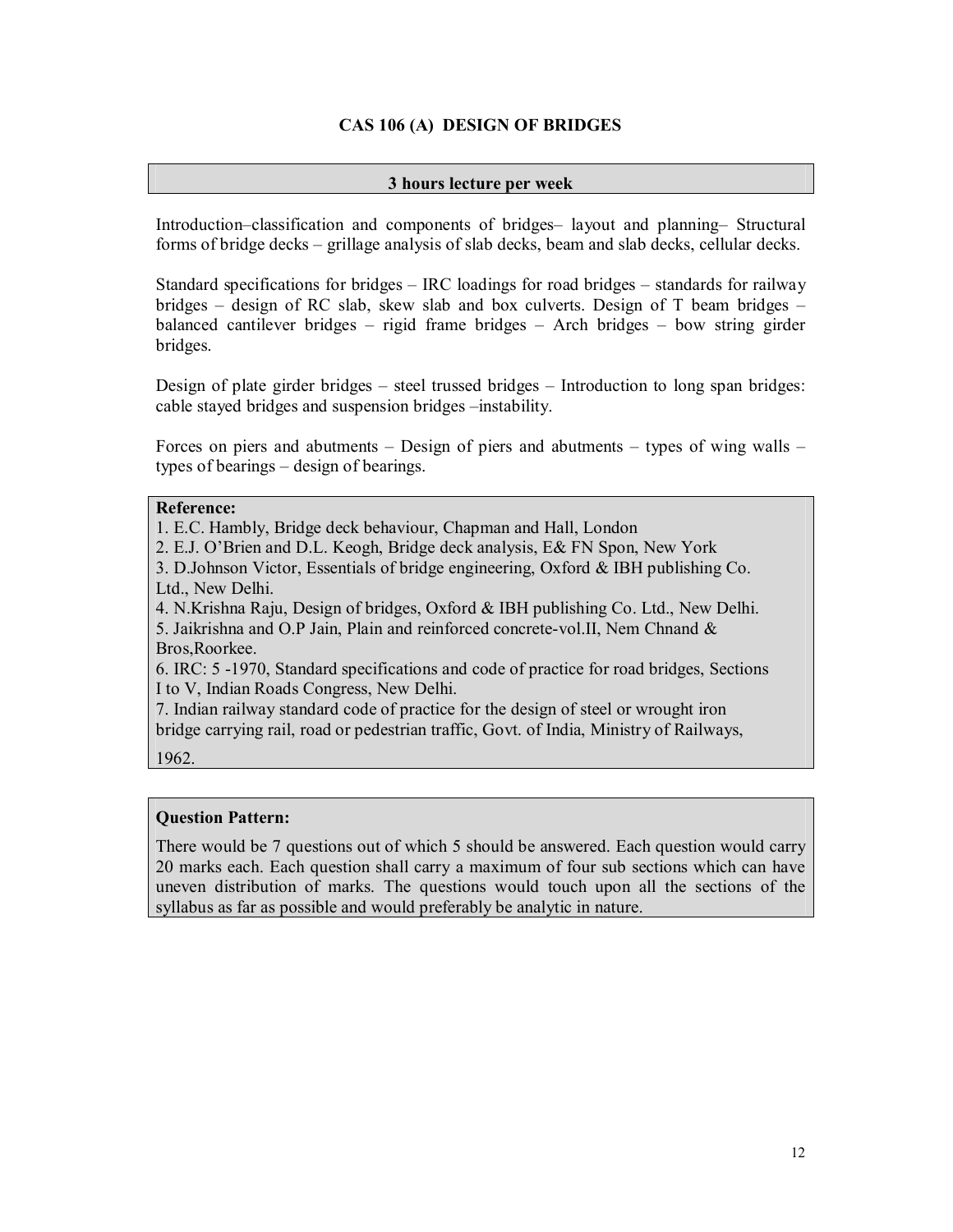# **CAS 106 (A) DESIGN OF BRIDGES**

# **3 hours lecture per week**

Introduction–classification and components of bridges– layout and planning– Structural forms of bridge decks – grillage analysis of slab decks, beam and slab decks, cellular decks.

Standard specifications for bridges – IRC loadings for road bridges – standards for railway bridges – design of RC slab, skew slab and box culverts. Design of T beam bridges – balanced cantilever bridges – rigid frame bridges – Arch bridges – bow string girder bridges.

Design of plate girder bridges – steel trussed bridges – Introduction to long span bridges: cable stayed bridges and suspension bridges –instability.

Forces on piers and abutments – Design of piers and abutments – types of wing walls – types of bearings – design of bearings.

# **Reference:**

1. E.C. Hambly, Bridge deck behaviour, Chapman and Hall, London

2. E.J. O'Brien and D.L. Keogh, Bridge deck analysis, E& FN Spon, New York

3. D.Johnson Victor, Essentials of bridge engineering, Oxford & IBH publishing Co. Ltd., New Delhi.

4. N.Krishna Raju, Design of bridges, Oxford & IBH publishing Co. Ltd., New Delhi.

5. Jaikrishna and O.P Jain, Plain and reinforced concrete-vol.II, Nem Chnand & Bros,Roorkee.

6. IRC: 5 -1970, Standard specifications and code of practice for road bridges, Sections I to V, Indian Roads Congress, New Delhi.

7. Indian railway standard code of practice for the design of steel or wrought iron bridge carrying rail, road or pedestrian traffic, Govt. of India, Ministry of Railways,

1962.

# **Question Pattern:**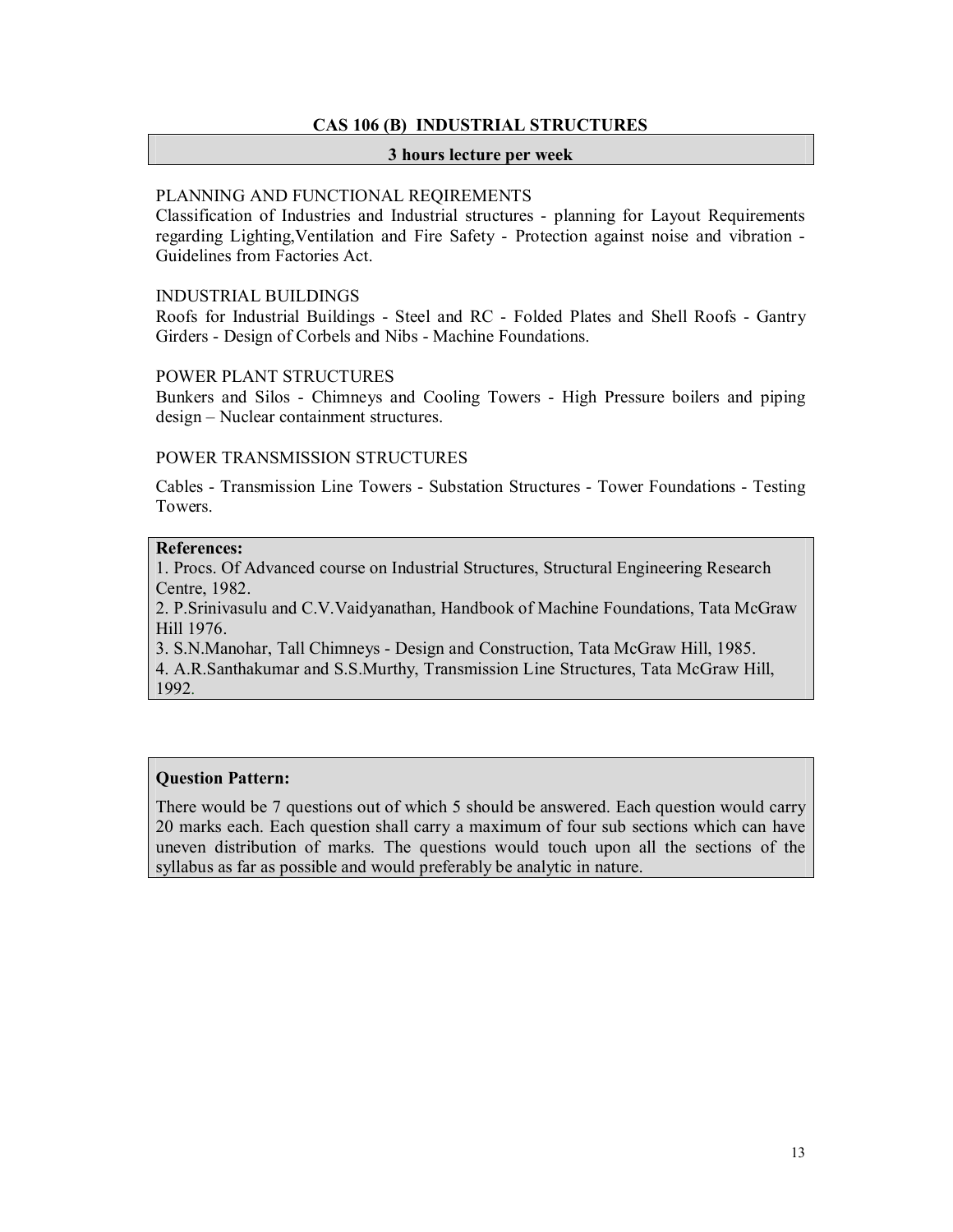# **CAS 106 (B) INDUSTRIAL STRUCTURES**

#### **3 hours lecture per week**

# PLANNING AND FUNCTIONAL REQIREMENTS

Classification of Industries and Industrial structures - planning for Layout Requirements regarding Lighting,Ventilation and Fire Safety - Protection against noise and vibration - Guidelines from Factories Act.

#### INDUSTRIAL BUILDINGS

Roofs for Industrial Buildings - Steel and RC - Folded Plates and Shell Roofs - Gantry Girders - Design of Corbels and Nibs - Machine Foundations.

# POWER PLANT STRUCTURES

Bunkers and Silos - Chimneys and Cooling Towers - High Pressure boilers and piping design – Nuclear containment structures.

#### POWER TRANSMISSION STRUCTURES

Cables - Transmission Line Towers - Substation Structures - Tower Foundations - Testing Towers.

# **References:**

1. Procs. Of Advanced course on Industrial Structures, Structural Engineering Research Centre, 1982.

2. P.Srinivasulu and C.V.Vaidyanathan, Handbook of Machine Foundations, Tata McGraw Hill 1976.

3. S.N.Manohar, Tall Chimneys - Design and Construction, Tata McGraw Hill, 1985.

4. A.R.Santhakumar and S.S.Murthy, Transmission Line Structures, Tata McGraw Hill, 1992.

# **Question Pattern:**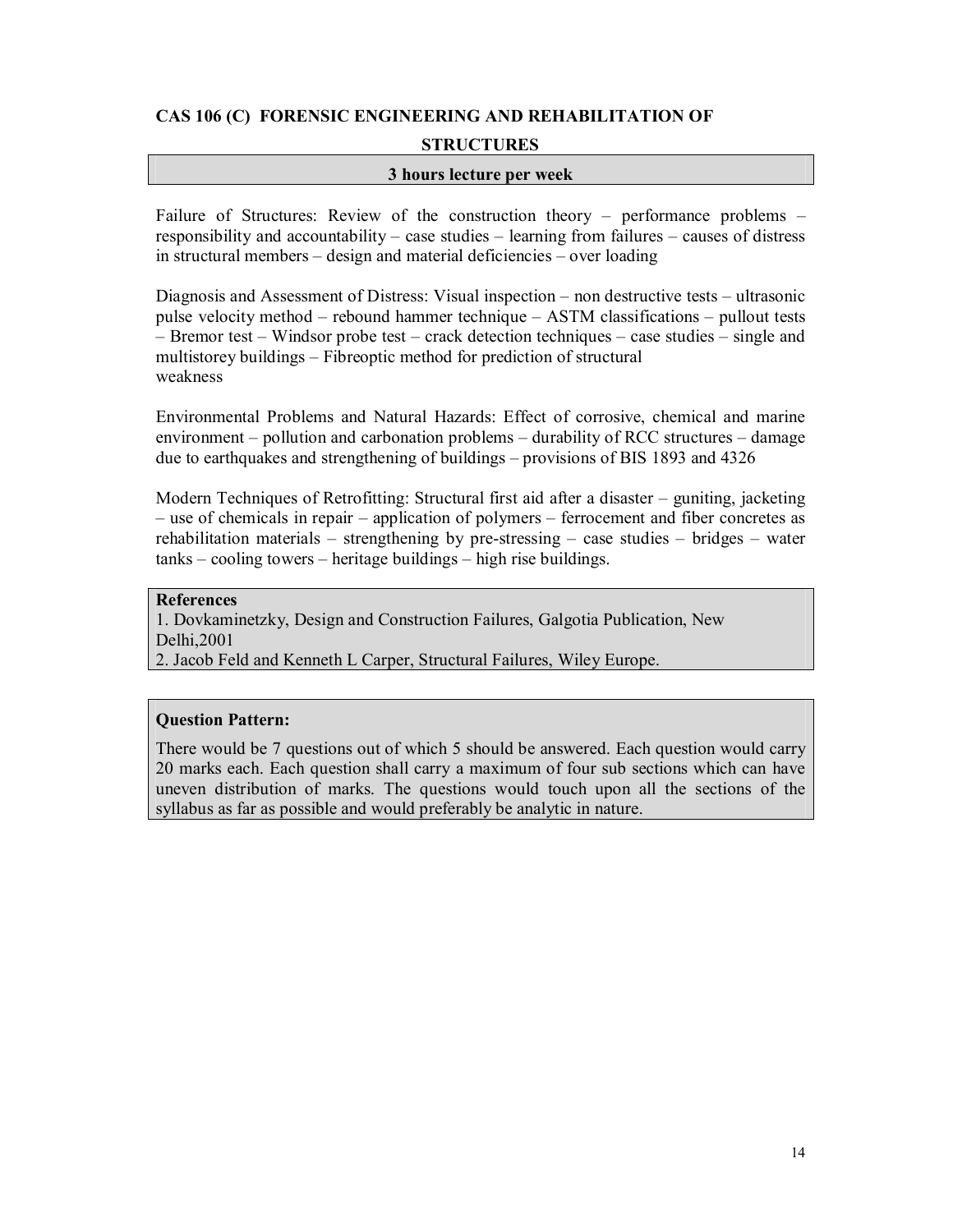# **CAS 106 (C) FORENSIC ENGINEERING AND REHABILITATION OF STRUCTURES**

# **3 hours lecture per week**

Failure of Structures: Review of the construction theory – performance problems – responsibility and accountability – case studies – learning from failures – causes of distress in structural members – design and material deficiencies – over loading

Diagnosis and Assessment of Distress: Visual inspection – non destructive tests – ultrasonic pulse velocity method – rebound hammer technique – ASTM classifications – pullout tests – Bremor test – Windsor probe test – crack detection techniques – case studies – single and multistorey buildings – Fibreoptic method for prediction of structural weakness

Environmental Problems and Natural Hazards: Effect of corrosive, chemical and marine environment – pollution and carbonation problems – durability of RCC structures – damage due to earthquakes and strengthening of buildings – provisions of BIS 1893 and 4326

Modern Techniques of Retrofitting: Structural first aid after a disaster – guniting, jacketing – use of chemicals in repair – application of polymers – ferrocement and fiber concretes as rehabilitation materials – strengthening by pre-stressing – case studies – bridges – water tanks – cooling towers – heritage buildings – high rise buildings.

#### **References**

1. Dovkaminetzky, Design and Construction Failures, Galgotia Publication, New Delhi,2001

2. Jacob Feld and Kenneth L Carper, Structural Failures, Wiley Europe.

# **Question Pattern:**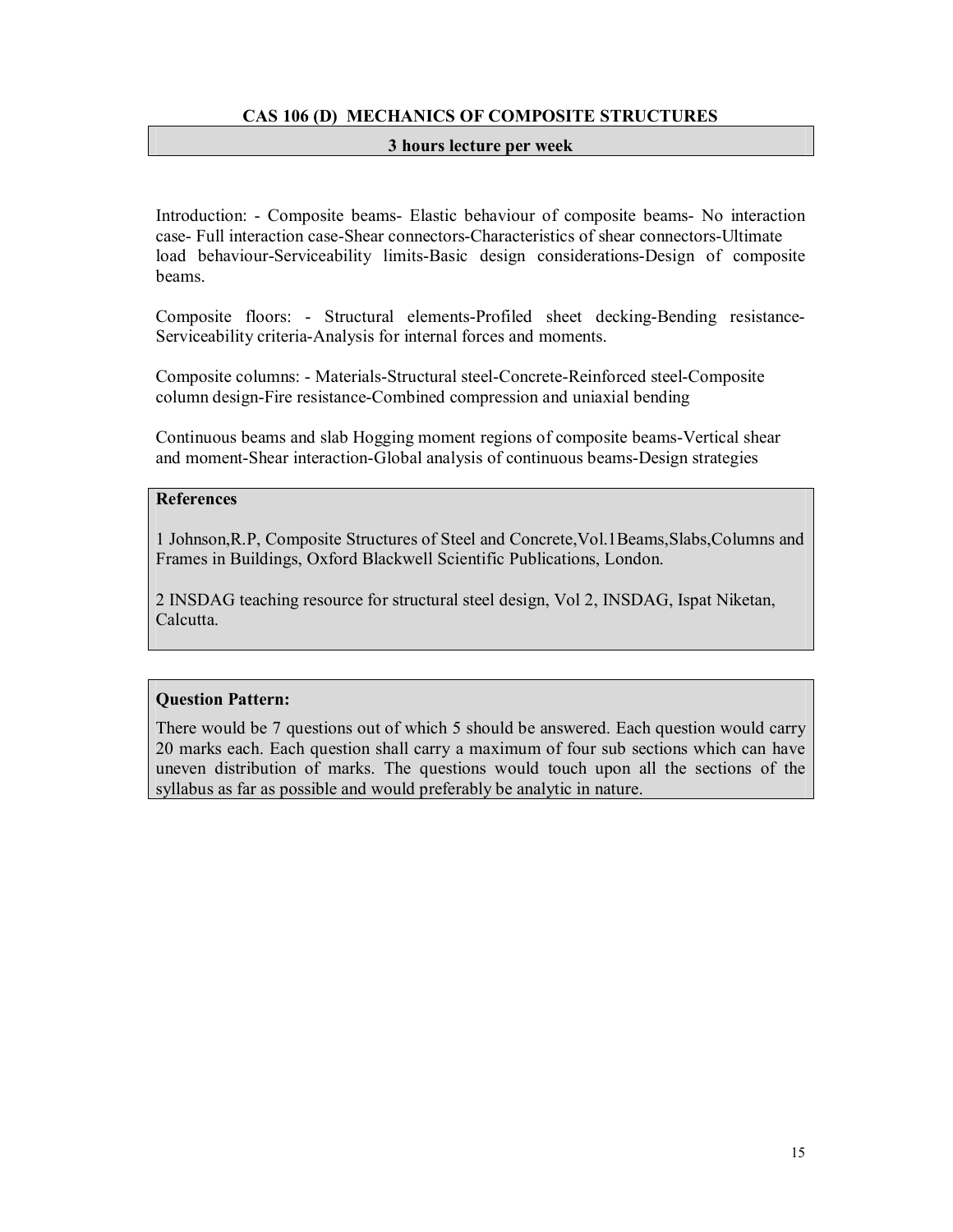# **CAS 106 (D) MECHANICS OF COMPOSITE STRUCTURES**

# **3 hours lecture per week**

Introduction: - Composite beams- Elastic behaviour of composite beams- No interaction case- Full interaction case-Shear connectors-Characteristics of shear connectors-Ultimate load behaviour-Serviceability limits-Basic design considerations-Design of composite beams.

Composite floors: - Structural elements-Profiled sheet decking-Bending resistance-Serviceability criteria-Analysis for internal forces and moments.

Composite columns: - Materials-Structural steel-Concrete-Reinforced steel-Composite column design-Fire resistance-Combined compression and uniaxial bending

Continuous beams and slab Hogging moment regions of composite beams-Vertical shear and moment-Shear interaction-Global analysis of continuous beams-Design strategies

#### **References**

1 Johnson,R.P, Composite Structures of Steel and Concrete,Vol.1Beams,Slabs,Columns and Frames in Buildings, Oxford Blackwell Scientific Publications, London.

2 INSDAG teaching resource for structural steel design, Vol 2, INSDAG, Ispat Niketan, Calcutta.

# **Question Pattern:**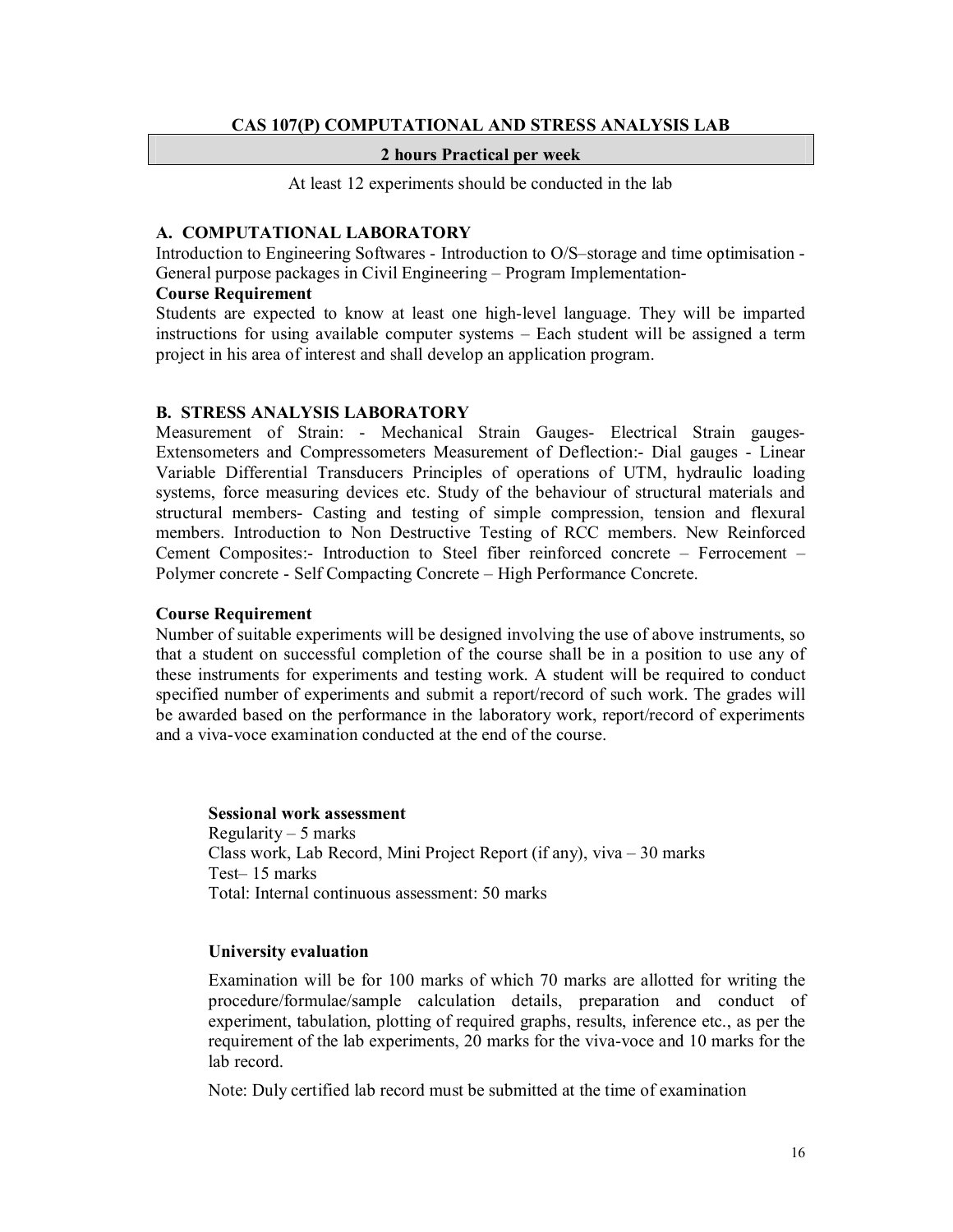#### **CAS 107(P) COMPUTATIONAL AND STRESS ANALYSIS LAB**

#### **2 hours Practical per week**

At least 12 experiments should be conducted in the lab

#### **A. COMPUTATIONAL LABORATORY**

Introduction to Engineering Softwares - Introduction to O/S–storage and time optimisation - General purpose packages in Civil Engineering – Program Implementation-

#### **Course Requirement**

Students are expected to know at least one high-level language. They will be imparted instructions for using available computer systems – Each student will be assigned a term project in his area of interest and shall develop an application program.

#### **B. STRESS ANALYSIS LABORATORY**

Measurement of Strain: - Mechanical Strain Gauges- Electrical Strain gauges-Extensometers and Compressometers Measurement of Deflection:- Dial gauges - Linear Variable Differential Transducers Principles of operations of UTM, hydraulic loading systems, force measuring devices etc. Study of the behaviour of structural materials and structural members- Casting and testing of simple compression, tension and flexural members. Introduction to Non Destructive Testing of RCC members. New Reinforced Cement Composites:- Introduction to Steel fiber reinforced concrete – Ferrocement – Polymer concrete - Self Compacting Concrete – High Performance Concrete.

#### **Course Requirement**

Number of suitable experiments will be designed involving the use of above instruments, so that a student on successful completion of the course shall be in a position to use any of these instruments for experiments and testing work. A student will be required to conduct specified number of experiments and submit a report/record of such work. The grades will be awarded based on the performance in the laboratory work, report/record of experiments and a viva-voce examination conducted at the end of the course.

#### **Sessional work assessment**

Regularity – 5 marks Class work, Lab Record, Mini Project Report (if any), viva – 30 marks Test– 15 marks Total: Internal continuous assessment: 50 marks

#### **University evaluation**

Examination will be for 100 marks of which 70 marks are allotted for writing the procedure/formulae/sample calculation details, preparation and conduct of experiment, tabulation, plotting of required graphs, results, inference etc., as per the requirement of the lab experiments, 20 marks for the viva-voce and 10 marks for the lab record.

Note: Duly certified lab record must be submitted at the time of examination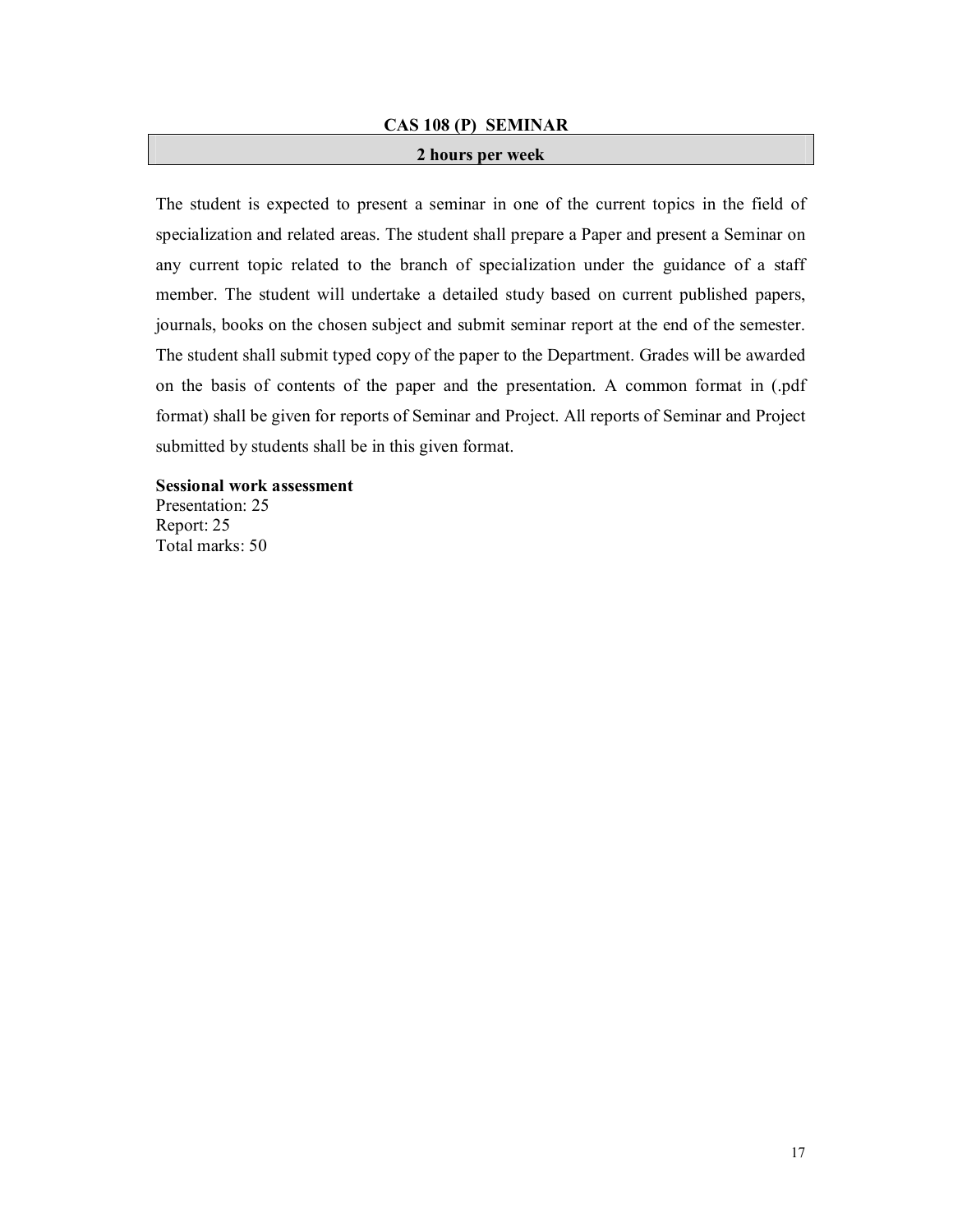#### **CAS 108 (P) SEMINAR**

#### **2 hours per week**

The student is expected to present a seminar in one of the current topics in the field of specialization and related areas. The student shall prepare a Paper and present a Seminar on any current topic related to the branch of specialization under the guidance of a staff member. The student will undertake a detailed study based on current published papers, journals, books on the chosen subject and submit seminar report at the end of the semester. The student shall submit typed copy of the paper to the Department. Grades will be awarded on the basis of contents of the paper and the presentation. A common format in (.pdf format) shall be given for reports of Seminar and Project. All reports of Seminar and Project submitted by students shall be in this given format.

**Sessional work assessment** Presentation: 25

Report: 25 Total marks: 50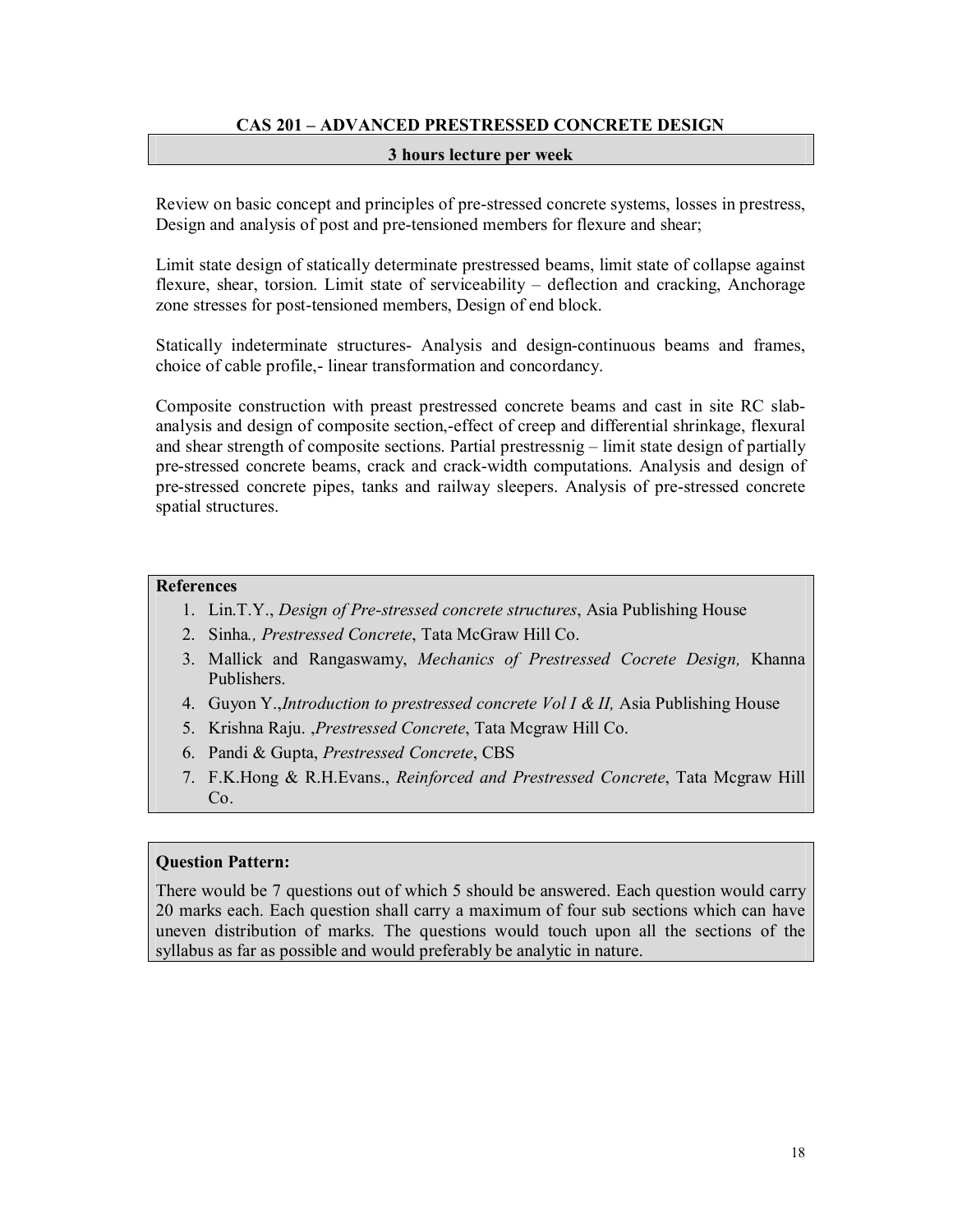# **CAS 201 – ADVANCED PRESTRESSED CONCRETE DESIGN**

#### **3 hours lecture per week**

Review on basic concept and principles of pre-stressed concrete systems, losses in prestress, Design and analysis of post and pre-tensioned members for flexure and shear;

Limit state design of statically determinate prestressed beams, limit state of collapse against flexure, shear, torsion. Limit state of serviceability – deflection and cracking, Anchorage zone stresses for post-tensioned members, Design of end block.

Statically indeterminate structures- Analysis and design-continuous beams and frames, choice of cable profile,- linear transformation and concordancy.

Composite construction with preast prestressed concrete beams and cast in site RC slabanalysis and design of composite section,-effect of creep and differential shrinkage, flexural and shear strength of composite sections. Partial prestressnig – limit state design of partially pre-stressed concrete beams, crack and crack-width computations. Analysis and design of pre-stressed concrete pipes, tanks and railway sleepers. Analysis of pre-stressed concrete spatial structures.

#### **References**

- 1. Lin.T.Y., *Design of Pre-stressed concrete structures*, Asia Publishing House
- 2. Sinha*., Prestressed Concrete*, Tata McGraw Hill Co.
- 3. Mallick and Rangaswamy, *Mechanics of Prestressed Cocrete Design,* Khanna Publishers.
- 4. Guyon Y.,*Introduction to prestressed concrete Vol I & II,* Asia Publishing House
- 5. Krishna Raju. ,*Prestressed Concrete*, Tata Mcgraw Hill Co.
- 6. Pandi & Gupta, *Prestressed Concrete*, CBS
- 7. F.K.Hong & R.H.Evans., *Reinforced and Prestressed Concrete*, Tata Mcgraw Hill Co.

#### **Question Pattern:**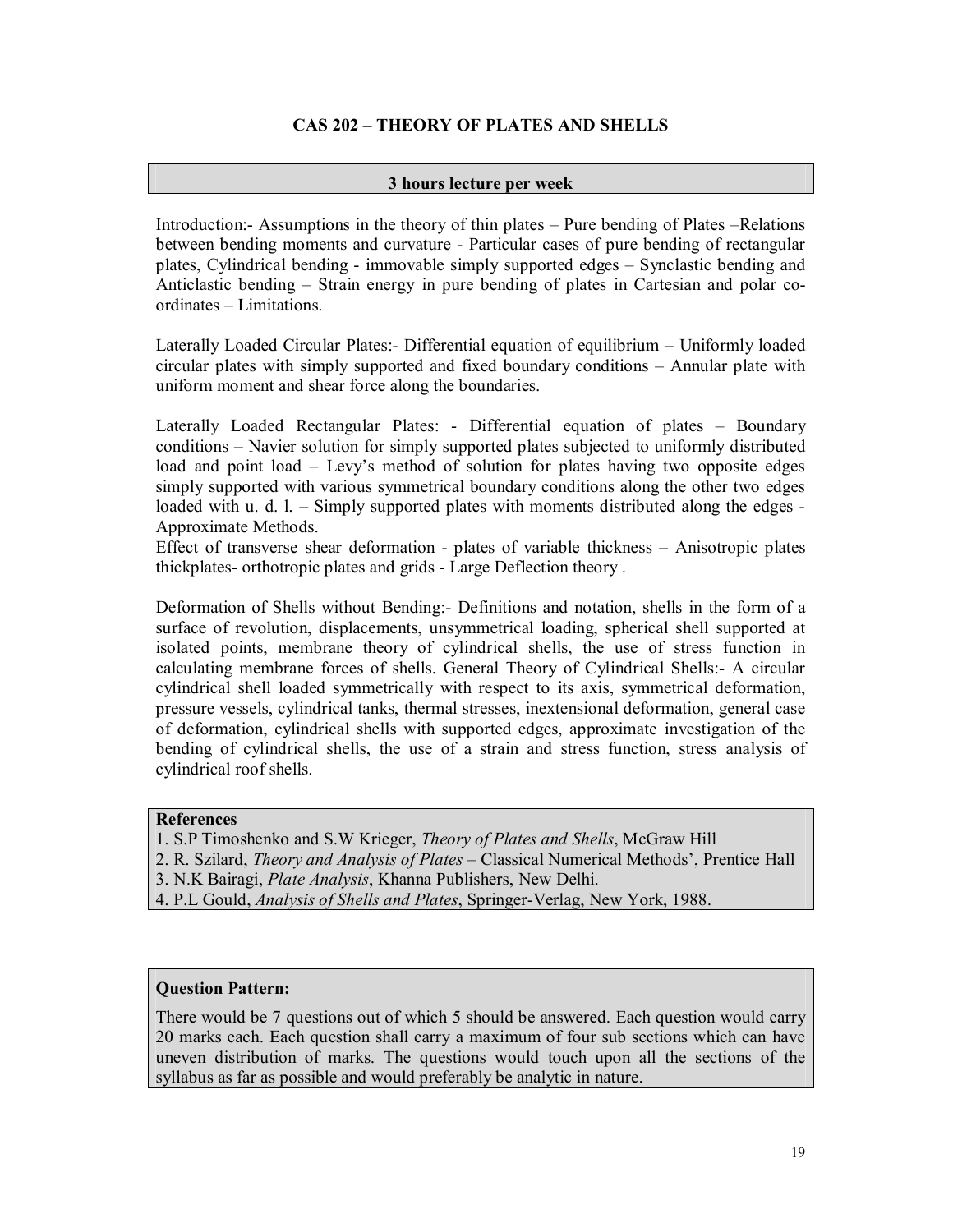# **CAS 202 – THEORY OF PLATES AND SHELLS**

# **3 hours lecture per week**

Introduction:- Assumptions in the theory of thin plates – Pure bending of Plates –Relations between bending moments and curvature - Particular cases of pure bending of rectangular plates, Cylindrical bending - immovable simply supported edges – Synclastic bending and Anticlastic bending – Strain energy in pure bending of plates in Cartesian and polar coordinates – Limitations.

Laterally Loaded Circular Plates:- Differential equation of equilibrium – Uniformly loaded circular plates with simply supported and fixed boundary conditions – Annular plate with uniform moment and shear force along the boundaries.

Laterally Loaded Rectangular Plates: - Differential equation of plates – Boundary conditions – Navier solution for simply supported plates subjected to uniformly distributed load and point load – Levy's method of solution for plates having two opposite edges simply supported with various symmetrical boundary conditions along the other two edges loaded with u. d. l. – Simply supported plates with moments distributed along the edges - Approximate Methods.

Effect of transverse shear deformation - plates of variable thickness – Anisotropic plates thickplates- orthotropic plates and grids - Large Deflection theory .

Deformation of Shells without Bending:- Definitions and notation, shells in the form of a surface of revolution, displacements, unsymmetrical loading, spherical shell supported at isolated points, membrane theory of cylindrical shells, the use of stress function in calculating membrane forces of shells. General Theory of Cylindrical Shells:- A circular cylindrical shell loaded symmetrically with respect to its axis, symmetrical deformation, pressure vessels, cylindrical tanks, thermal stresses, inextensional deformation, general case of deformation, cylindrical shells with supported edges, approximate investigation of the bending of cylindrical shells, the use of a strain and stress function, stress analysis of cylindrical roof shells.

# **References**

- 1. S.P Timoshenko and S.W Krieger, *Theory of Plates and Shells*, McGraw Hill
- 2. R. Szilard, *Theory and Analysis of Plates*  Classical Numerical Methods', Prentice Hall
- 3. N.K Bairagi, *Plate Analysis*, Khanna Publishers, New Delhi.
- 4. P.L Gould, *Analysis of Shells and Plates*, Springer-Verlag, New York, 1988.

# **Question Pattern:**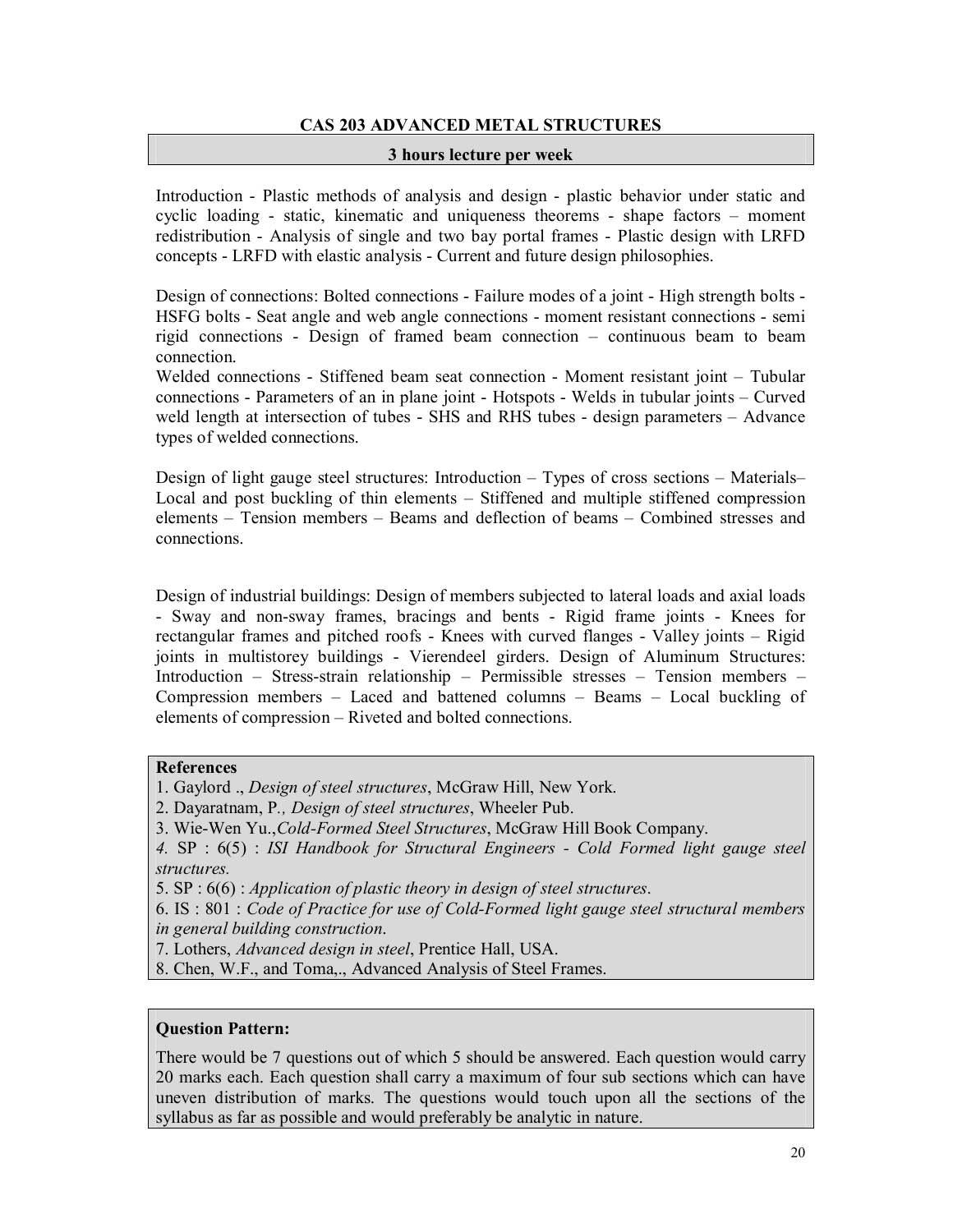# **CAS 203 ADVANCED METAL STRUCTURES**

#### **3 hours lecture per week**

Introduction - Plastic methods of analysis and design - plastic behavior under static and cyclic loading - static, kinematic and uniqueness theorems - shape factors – moment redistribution - Analysis of single and two bay portal frames - Plastic design with LRFD concepts - LRFD with elastic analysis - Current and future design philosophies.

Design of connections: Bolted connections - Failure modes of a joint - High strength bolts - HSFG bolts - Seat angle and web angle connections - moment resistant connections - semi rigid connections - Design of framed beam connection – continuous beam to beam connection.

Welded connections - Stiffened beam seat connection - Moment resistant joint – Tubular connections - Parameters of an in plane joint - Hotspots - Welds in tubular joints – Curved weld length at intersection of tubes - SHS and RHS tubes - design parameters – Advance types of welded connections.

Design of light gauge steel structures: Introduction – Types of cross sections – Materials– Local and post buckling of thin elements – Stiffened and multiple stiffened compression elements – Tension members – Beams and deflection of beams – Combined stresses and connections.

Design of industrial buildings: Design of members subjected to lateral loads and axial loads - Sway and non-sway frames, bracings and bents - Rigid frame joints - Knees for rectangular frames and pitched roofs - Knees with curved flanges - Valley joints – Rigid joints in multistorey buildings - Vierendeel girders. Design of Aluminum Structures: Introduction – Stress-strain relationship – Permissible stresses – Tension members – Compression members – Laced and battened columns – Beams – Local buckling of elements of compression – Riveted and bolted connections.

# **References**

- 1. Gaylord ., *Design of steel structures*, McGraw Hill, New York.
- 2. Dayaratnam, P*., Design of steel structures*, Wheeler Pub.
- 3. Wie-Wen Yu.,*Cold-Formed Steel Structures*, McGraw Hill Book Company.

*4.* SP : 6(5) : *ISI Handbook for Structural Engineers - Cold Formed light gauge steel structures.*

5. SP : 6(6) : *Application of plastic theory in design of steel structures*.

6. IS : 801 : *Code of Practice for use of Cold-Formed light gauge steel structural members in general building construction*.

7. Lothers, *Advanced design in steel*, Prentice Hall, USA.

8. Chen, W.F., and Toma,., Advanced Analysis of Steel Frames.

# **Question Pattern:**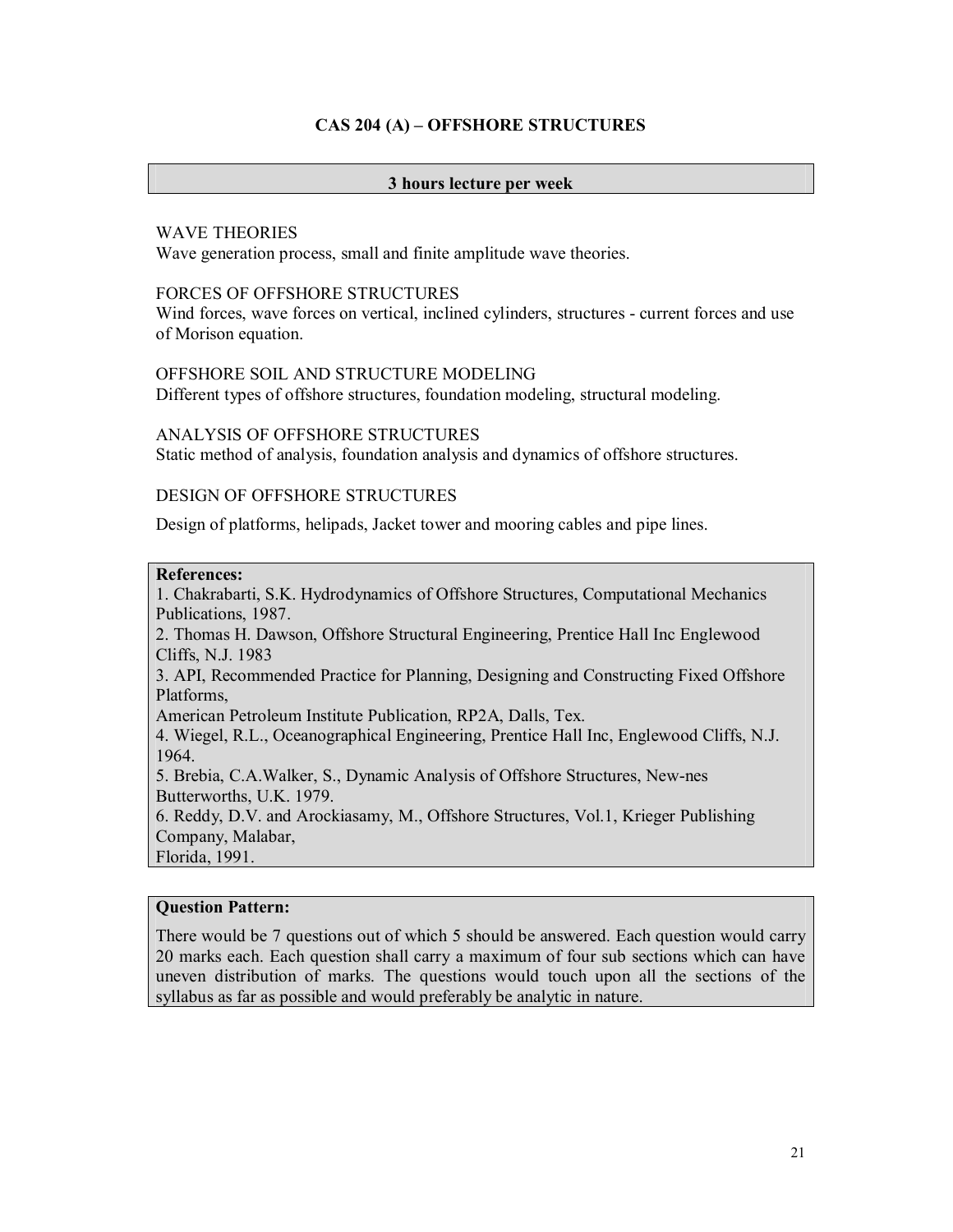# **CAS 204 (A) – OFFSHORE STRUCTURES**

#### **3 hours lecture per week**

#### WAVE THEORIES

Wave generation process, small and finite amplitude wave theories.

#### FORCES OF OFFSHORE STRUCTURES

Wind forces, wave forces on vertical, inclined cylinders, structures - current forces and use of Morison equation.

# OFFSHORE SOIL AND STRUCTURE MODELING

Different types of offshore structures, foundation modeling, structural modeling.

### ANALYSIS OF OFFSHORE STRUCTURES

Static method of analysis, foundation analysis and dynamics of offshore structures.

# DESIGN OF OFFSHORE STRUCTURES

Design of platforms, helipads, Jacket tower and mooring cables and pipe lines.

# **References:**

1. Chakrabarti, S.K. Hydrodynamics of Offshore Structures, Computational Mechanics Publications, 1987.

2. Thomas H. Dawson, Offshore Structural Engineering, Prentice Hall Inc Englewood Cliffs, N.J. 1983

3. API, Recommended Practice for Planning, Designing and Constructing Fixed Offshore Platforms,

American Petroleum Institute Publication, RP2A, Dalls, Tex.

4. Wiegel, R.L., Oceanographical Engineering, Prentice Hall Inc, Englewood Cliffs, N.J. 1964.

5. Brebia, C.A.Walker, S., Dynamic Analysis of Offshore Structures, New-nes Butterworths, U.K. 1979.

6. Reddy, D.V. and Arockiasamy, M., Offshore Structures, Vol.1, Krieger Publishing Company, Malabar,

Florida, 1991.

#### **Question Pattern:**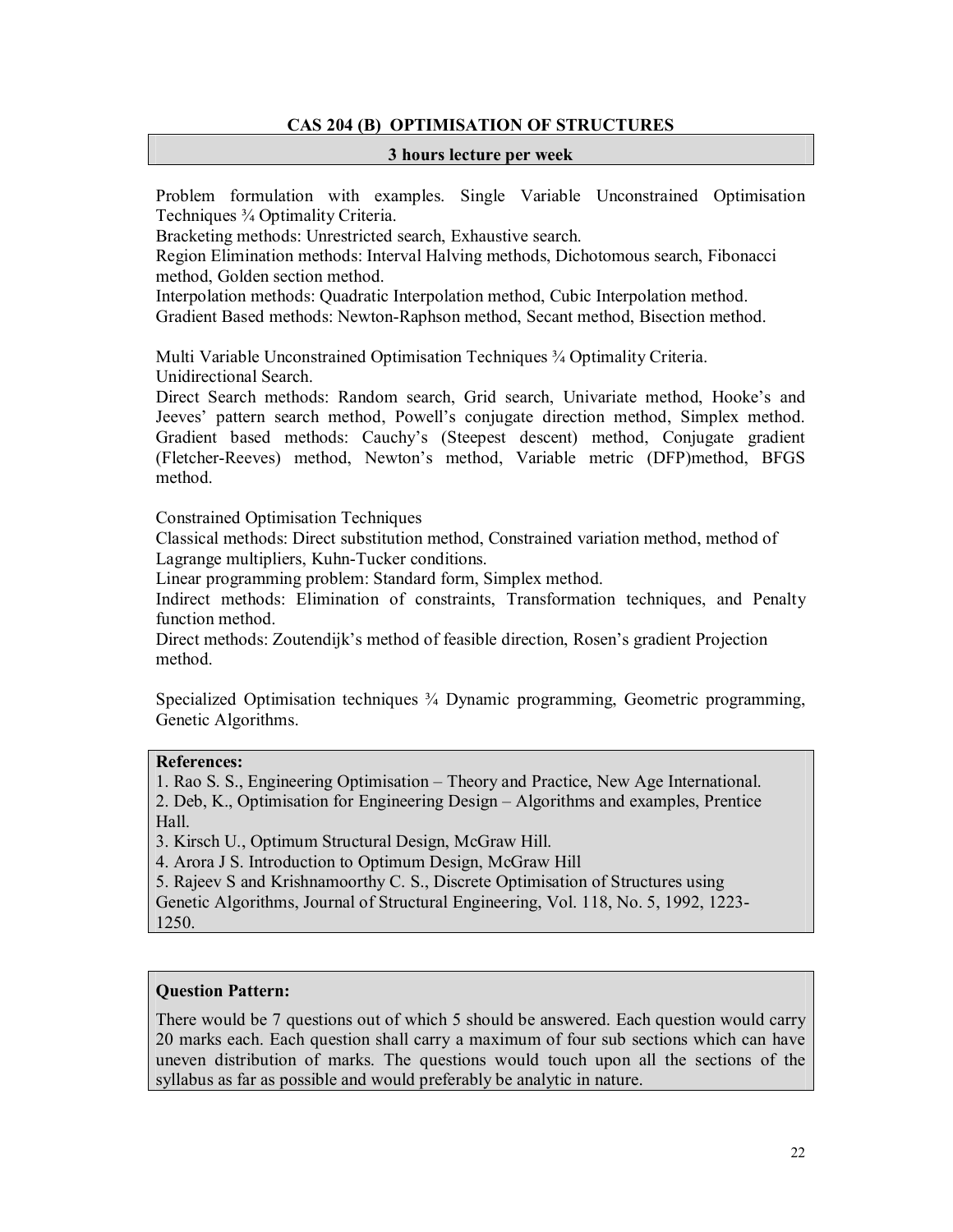# **CAS 204 (B) OPTIMISATION OF STRUCTURES**

#### **3 hours lecture per week**

Problem formulation with examples. Single Variable Unconstrained Optimisation Techniques ¾ Optimality Criteria.

Bracketing methods: Unrestricted search, Exhaustive search.

Region Elimination methods: Interval Halving methods, Dichotomous search, Fibonacci method, Golden section method.

Interpolation methods: Quadratic Interpolation method, Cubic Interpolation method.

Gradient Based methods: Newton-Raphson method, Secant method, Bisection method.

Multi Variable Unconstrained Optimisation Techniques ¾ Optimality Criteria. Unidirectional Search.

Direct Search methods: Random search, Grid search, Univariate method, Hooke's and Jeeves' pattern search method, Powell's conjugate direction method, Simplex method. Gradient based methods: Cauchy's (Steepest descent) method, Conjugate gradient (Fletcher-Reeves) method, Newton's method, Variable metric (DFP)method, BFGS method.

Constrained Optimisation Techniques

Classical methods: Direct substitution method, Constrained variation method, method of Lagrange multipliers, Kuhn-Tucker conditions.

Linear programming problem: Standard form, Simplex method.

Indirect methods: Elimination of constraints, Transformation techniques, and Penalty function method.

Direct methods: Zoutendijk's method of feasible direction, Rosen's gradient Projection method.

Specialized Optimisation techniques ¾ Dynamic programming, Geometric programming, Genetic Algorithms.

### **References:**

1. Rao S. S., Engineering Optimisation – Theory and Practice, New Age International. 2. Deb, K., Optimisation for Engineering Design – Algorithms and examples, Prentice Hall.

3. Kirsch U., Optimum Structural Design, McGraw Hill.

4. Arora J S. Introduction to Optimum Design, McGraw Hill

5. Rajeev S and Krishnamoorthy C. S., Discrete Optimisation of Structures using

Genetic Algorithms, Journal of Structural Engineering, Vol. 118, No. 5, 1992, 1223- 1250.

# **Question Pattern:**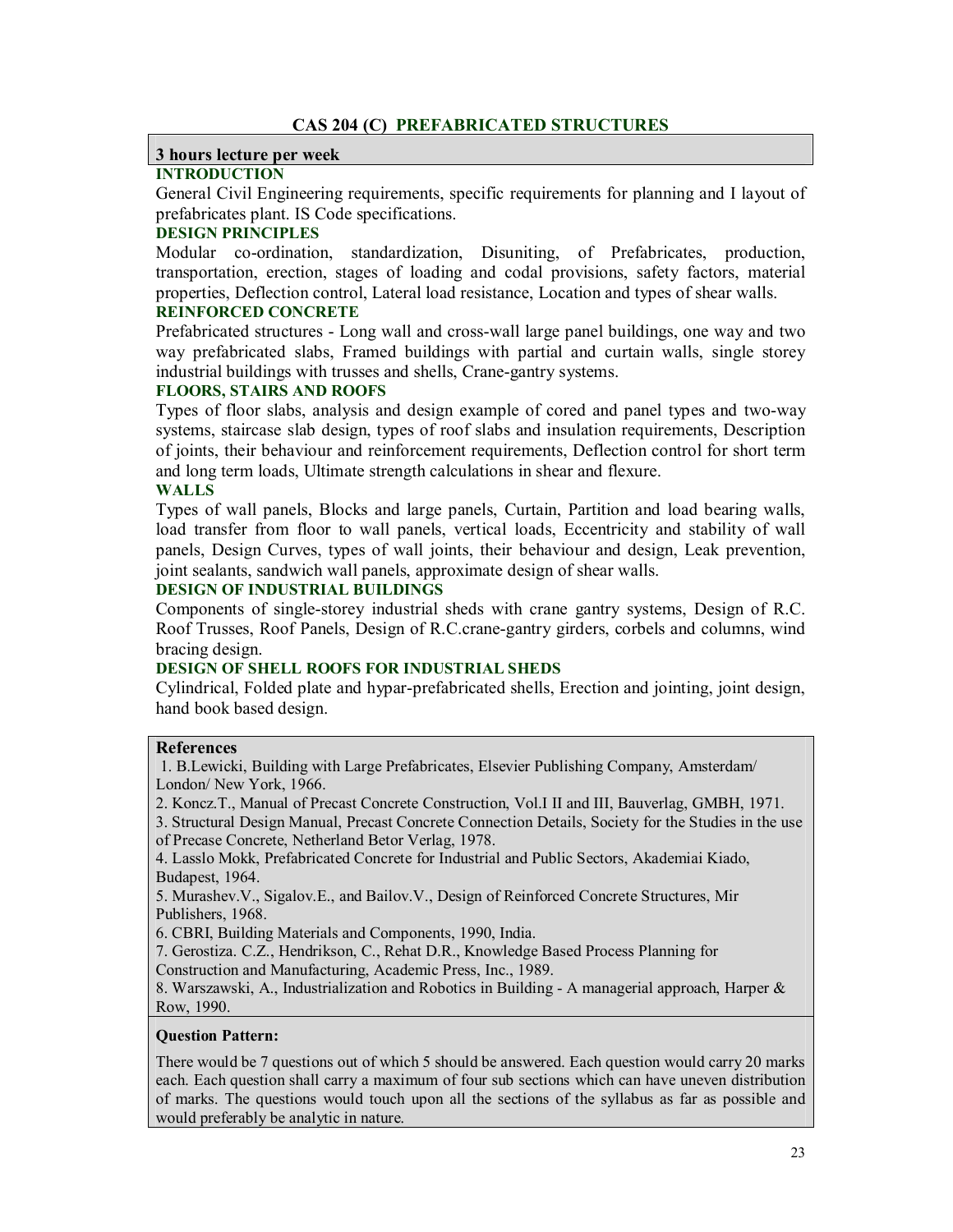#### **3 hours lecture per week**

# **INTRODUCTION**

General Civil Engineering requirements, specific requirements for planning and I layout of prefabricates plant. IS Code specifications.

# **DESIGN PRINCIPLES**

Modular co-ordination, standardization, Disuniting, of Prefabricates, production, transportation, erection, stages of loading and codal provisions, safety factors, material properties, Deflection control, Lateral load resistance, Location and types of shear walls.

# **REINFORCED CONCRETE**

Prefabricated structures - Long wall and cross-wall large panel buildings, one way and two way prefabricated slabs, Framed buildings with partial and curtain walls, single storey industrial buildings with trusses and shells, Crane-gantry systems.

#### **FLOORS, STAIRS AND ROOFS**

Types of floor slabs, analysis and design example of cored and panel types and two-way systems, staircase slab design, types of roof slabs and insulation requirements, Description of joints, their behaviour and reinforcement requirements, Deflection control for short term and long term loads, Ultimate strength calculations in shear and flexure.

# **WALLS**

Types of wall panels, Blocks and large panels, Curtain, Partition and load bearing walls, load transfer from floor to wall panels, vertical loads, Eccentricity and stability of wall panels, Design Curves, types of wall joints, their behaviour and design, Leak prevention, joint sealants, sandwich wall panels, approximate design of shear walls.

# **DESIGN OF INDUSTRIAL BUILDINGS**

Components of single-storey industrial sheds with crane gantry systems, Design of R.C. Roof Trusses, Roof Panels, Design of R.C.crane-gantry girders, corbels and columns, wind bracing design.

# **DESIGN OF SHELL ROOFS FOR INDUSTRIAL SHEDS**

Cylindrical, Folded plate and hypar-prefabricated shells, Erection and jointing, joint design, hand book based design.

# **References**

1. B.Lewicki, Building with Large Prefabricates, Elsevier Publishing Company, Amsterdam/ London/ New York, 1966.

2. Koncz.T., Manual of Precast Concrete Construction, Vol.I II and III, Bauverlag, GMBH, 1971.

3. Structural Design Manual, Precast Concrete Connection Details, Society for the Studies in the use of Precase Concrete, Netherland Betor Verlag, 1978.

4. Lasslo Mokk, Prefabricated Concrete for Industrial and Public Sectors, Akademiai Kiado, Budapest, 1964.

5. Murashev.V., Sigalov.E., and Bailov.V., Design of Reinforced Concrete Structures, Mir Publishers, 1968.

6. CBRI, Building Materials and Components, 1990, India.

7. Gerostiza. C.Z., Hendrikson, C., Rehat D.R., Knowledge Based Process Planning for

Construction and Manufacturing, Academic Press, Inc., 1989.

8. Warszawski, A., Industrialization and Robotics in Building - A managerial approach, Harper & Row, 1990.

#### **Question Pattern:**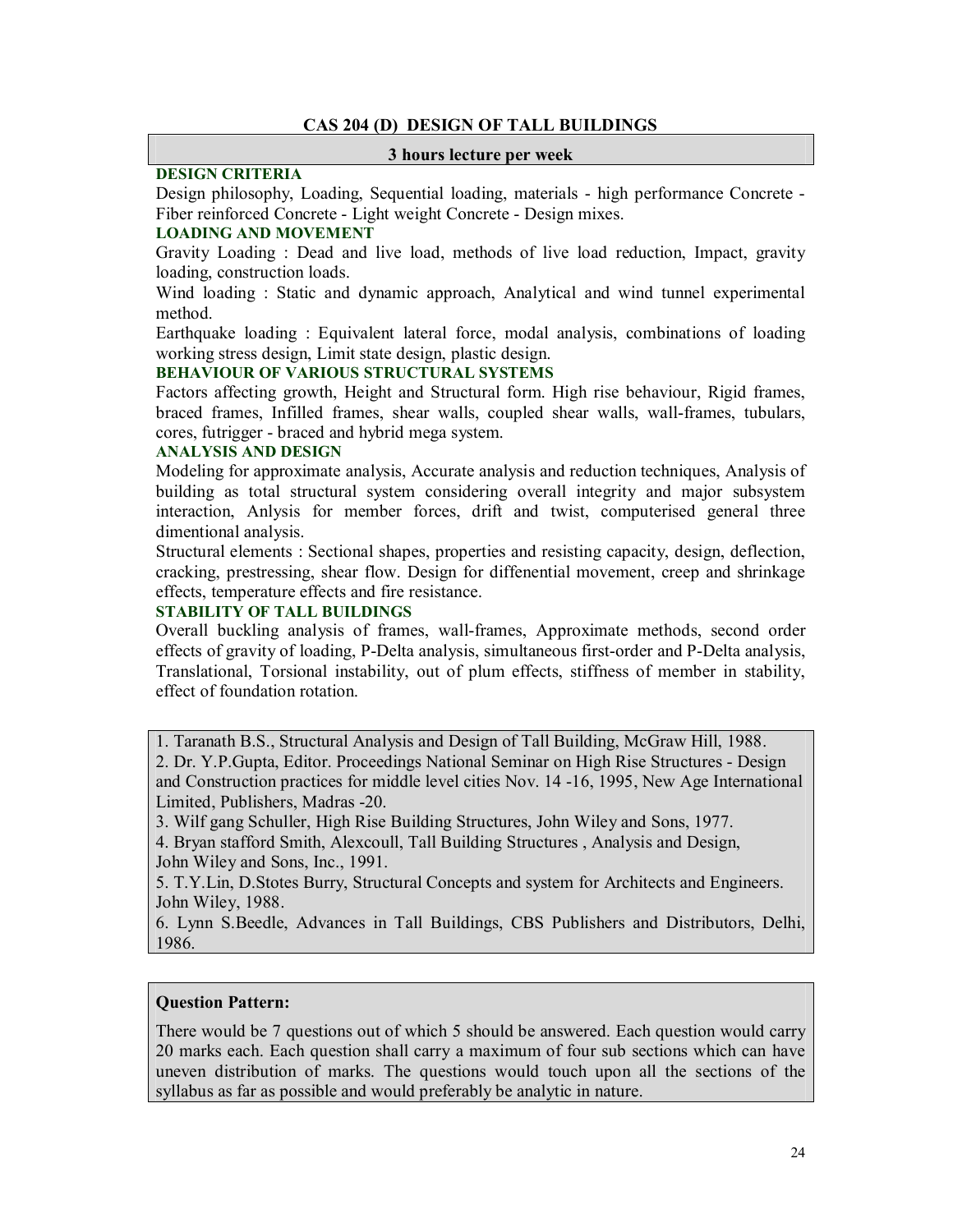# **CAS 204 (D) DESIGN OF TALL BUILDINGS**

#### **3 hours lecture per week**

# **DESIGN CRITERIA**

Design philosophy, Loading, Sequential loading, materials - high performance Concrete - Fiber reinforced Concrete - Light weight Concrete - Design mixes.

# **LOADING AND MOVEMENT**

Gravity Loading : Dead and live load, methods of live load reduction, Impact, gravity loading, construction loads.

Wind loading : Static and dynamic approach, Analytical and wind tunnel experimental method.

Earthquake loading : Equivalent lateral force, modal analysis, combinations of loading working stress design, Limit state design, plastic design.

#### **BEHAVIOUR OF VARIOUS STRUCTURAL SYSTEMS**

Factors affecting growth, Height and Structural form. High rise behaviour, Rigid frames, braced frames, Infilled frames, shear walls, coupled shear walls, wall-frames, tubulars, cores, futrigger - braced and hybrid mega system.

#### **ANALYSIS AND DESIGN**

Modeling for approximate analysis, Accurate analysis and reduction techniques, Analysis of building as total structural system considering overall integrity and major subsystem interaction, Anlysis for member forces, drift and twist, computerised general three dimentional analysis.

Structural elements : Sectional shapes, properties and resisting capacity, design, deflection, cracking, prestressing, shear flow. Design for diffenential movement, creep and shrinkage effects, temperature effects and fire resistance.

# **STABILITY OF TALL BUILDINGS**

Overall buckling analysis of frames, wall-frames, Approximate methods, second order effects of gravity of loading, P-Delta analysis, simultaneous first-order and P-Delta analysis, Translational, Torsional instability, out of plum effects, stiffness of member in stability, effect of foundation rotation.

1. Taranath B.S., Structural Analysis and Design of Tall Building, McGraw Hill, 1988.

2. Dr. Y.P.Gupta, Editor. Proceedings National Seminar on High Rise Structures - Design and Construction practices for middle level cities Nov. 14 -16, 1995, New Age International Limited, Publishers, Madras -20.

3. Wilf gang Schuller, High Rise Building Structures, John Wiley and Sons, 1977.

4. Bryan stafford Smith, Alexcoull, Tall Building Structures , Analysis and Design, John Wiley and Sons, Inc., 1991.

5. T.Y.Lin, D.Stotes Burry, Structural Concepts and system for Architects and Engineers. John Wiley, 1988.

6. Lynn S.Beedle, Advances in Tall Buildings, CBS Publishers and Distributors, Delhi, 1986.

# **Question Pattern:**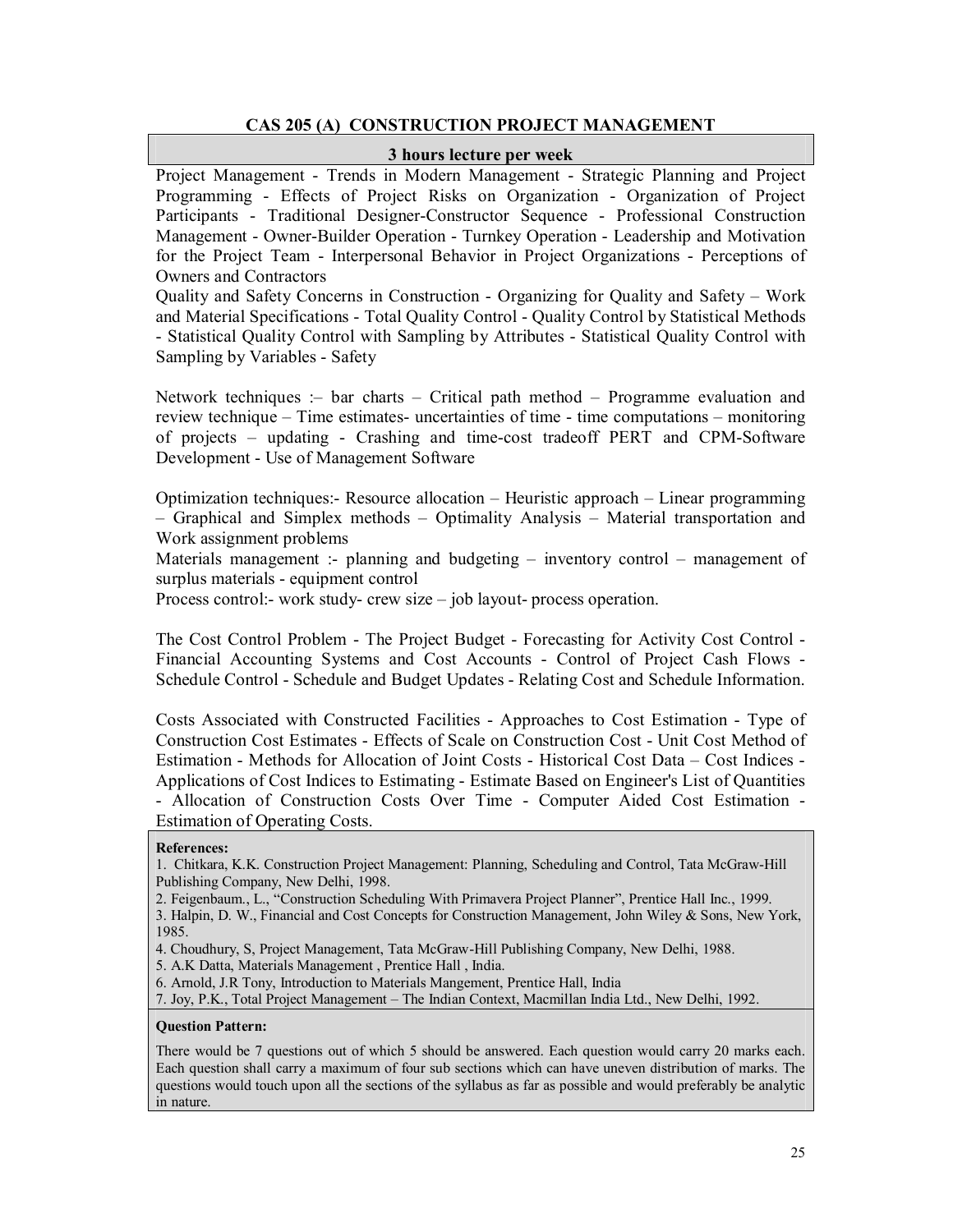# **CAS 205 (A) CONSTRUCTION PROJECT MANAGEMENT**

#### **3 hours lecture per week**

Project Management - Trends in Modern Management - Strategic Planning and Project Programming - Effects of Project Risks on Organization - Organization of Project Participants - Traditional Designer-Constructor Sequence - Professional Construction Management - Owner-Builder Operation - Turnkey Operation - Leadership and Motivation for the Project Team - Interpersonal Behavior in Project Organizations - Perceptions of Owners and Contractors

Quality and Safety Concerns in Construction - Organizing for Quality and Safety – Work and Material Specifications - Total Quality Control - Quality Control by Statistical Methods - Statistical Quality Control with Sampling by Attributes - Statistical Quality Control with Sampling by Variables - Safety

Network techniques :– bar charts – Critical path method – Programme evaluation and review technique – Time estimates- uncertainties of time - time computations – monitoring of projects – updating - Crashing and time-cost tradeoff PERT and CPM-Software Development - Use of Management Software

Optimization techniques:- Resource allocation – Heuristic approach – Linear programming – Graphical and Simplex methods – Optimality Analysis – Material transportation and Work assignment problems

Materials management :- planning and budgeting – inventory control – management of surplus materials - equipment control

Process control:- work study- crew size – job layout- process operation.

The Cost Control Problem - The Project Budget - Forecasting for Activity Cost Control - Financial Accounting Systems and Cost Accounts - Control of Project Cash Flows - Schedule Control - Schedule and Budget Updates - Relating Cost and Schedule Information.

Costs Associated with Constructed Facilities - Approaches to Cost Estimation - Type of Construction Cost Estimates - Effects of Scale on Construction Cost - Unit Cost Method of Estimation - Methods for Allocation of Joint Costs - Historical Cost Data – Cost Indices - Applications of Cost Indices to Estimating - Estimate Based on Engineer's List of Quantities - Allocation of Construction Costs Over Time - Computer Aided Cost Estimation - Estimation of Operating Costs.

#### **References:**

- 1. Chitkara, K.K. Construction Project Management: Planning, Scheduling and Control, Tata McGraw-Hill Publishing Company, New Delhi, 1998.
- 2. Feigenbaum., L., "Construction Scheduling With Primavera Project Planner", Prentice Hall Inc., 1999.

3. Halpin, D. W., Financial and Cost Concepts for Construction Management, John Wiley & Sons, New York, 1985.

4. Choudhury, S, Project Management, Tata McGraw-Hill Publishing Company, New Delhi, 1988.

5. A.K Datta, Materials Management , Prentice Hall , India.

6. Arnold, J.R Tony, Introduction to Materials Mangement, Prentice Hall, India

7. Joy, P.K., Total Project Management – The Indian Context, Macmillan India Ltd., New Delhi, 1992.

#### **Question Pattern:**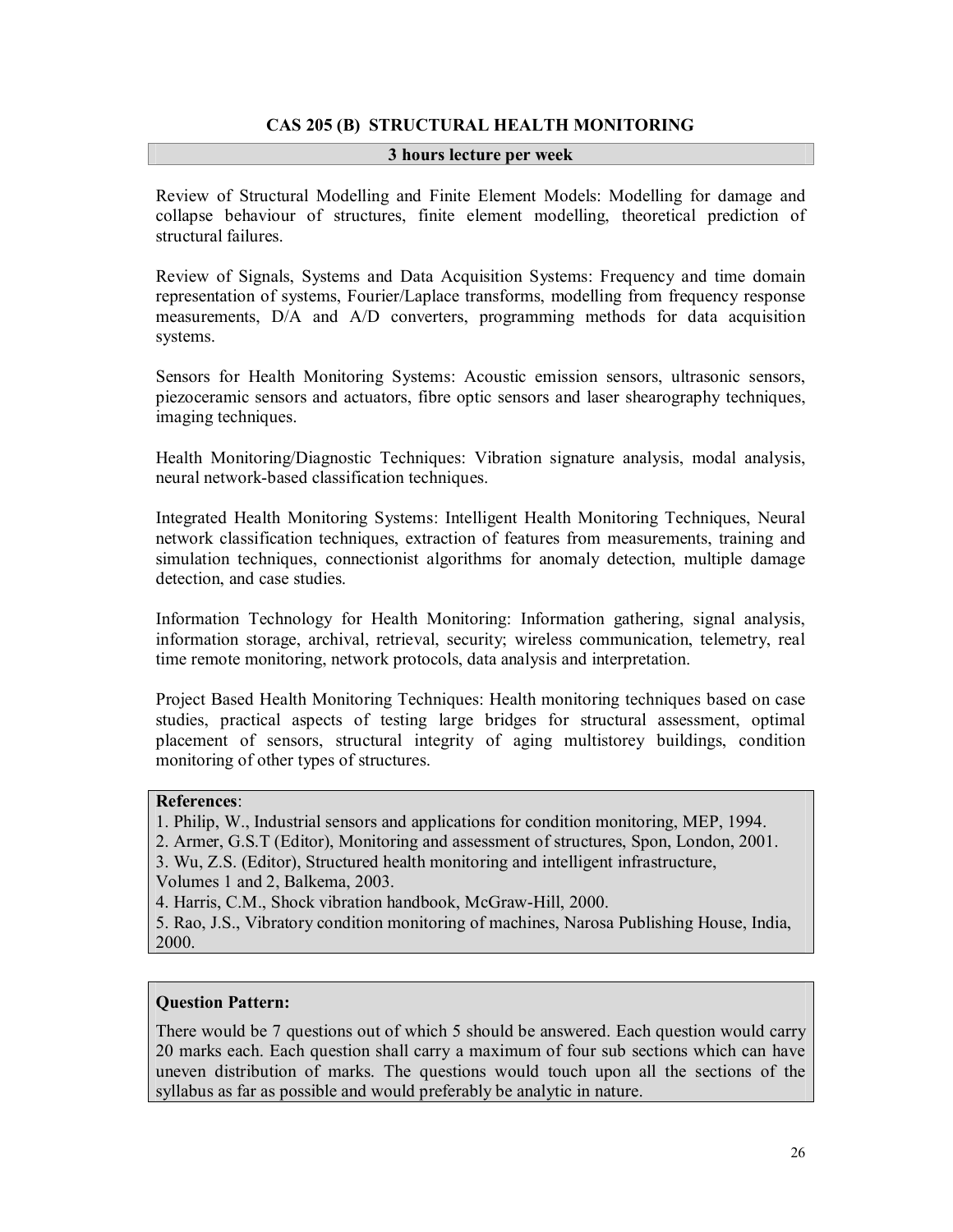# **CAS 205 (B) STRUCTURAL HEALTH MONITORING**

#### **3 hours lecture per week**

Review of Structural Modelling and Finite Element Models: Modelling for damage and collapse behaviour of structures, finite element modelling, theoretical prediction of structural failures.

Review of Signals, Systems and Data Acquisition Systems: Frequency and time domain representation of systems, Fourier/Laplace transforms, modelling from frequency response measurements, D/A and A/D converters, programming methods for data acquisition systems.

Sensors for Health Monitoring Systems: Acoustic emission sensors, ultrasonic sensors, piezoceramic sensors and actuators, fibre optic sensors and laser shearography techniques, imaging techniques.

Health Monitoring/Diagnostic Techniques: Vibration signature analysis, modal analysis, neural network-based classification techniques.

Integrated Health Monitoring Systems: Intelligent Health Monitoring Techniques, Neural network classification techniques, extraction of features from measurements, training and simulation techniques, connectionist algorithms for anomaly detection, multiple damage detection, and case studies.

Information Technology for Health Monitoring: Information gathering, signal analysis, information storage, archival, retrieval, security; wireless communication, telemetry, real time remote monitoring, network protocols, data analysis and interpretation.

Project Based Health Monitoring Techniques: Health monitoring techniques based on case studies, practical aspects of testing large bridges for structural assessment, optimal placement of sensors, structural integrity of aging multistorey buildings, condition monitoring of other types of structures.

#### **References**:

1. Philip, W., Industrial sensors and applications for condition monitoring, MEP, 1994.

2. Armer, G.S.T (Editor), Monitoring and assessment of structures, Spon, London, 2001.

3. Wu, Z.S. (Editor), Structured health monitoring and intelligent infrastructure,

Volumes 1 and 2, Balkema, 2003.

4. Harris, C.M., Shock vibration handbook, McGraw-Hill, 2000.

5. Rao, J.S., Vibratory condition monitoring of machines, Narosa Publishing House, India, 2000.

# **Question Pattern:**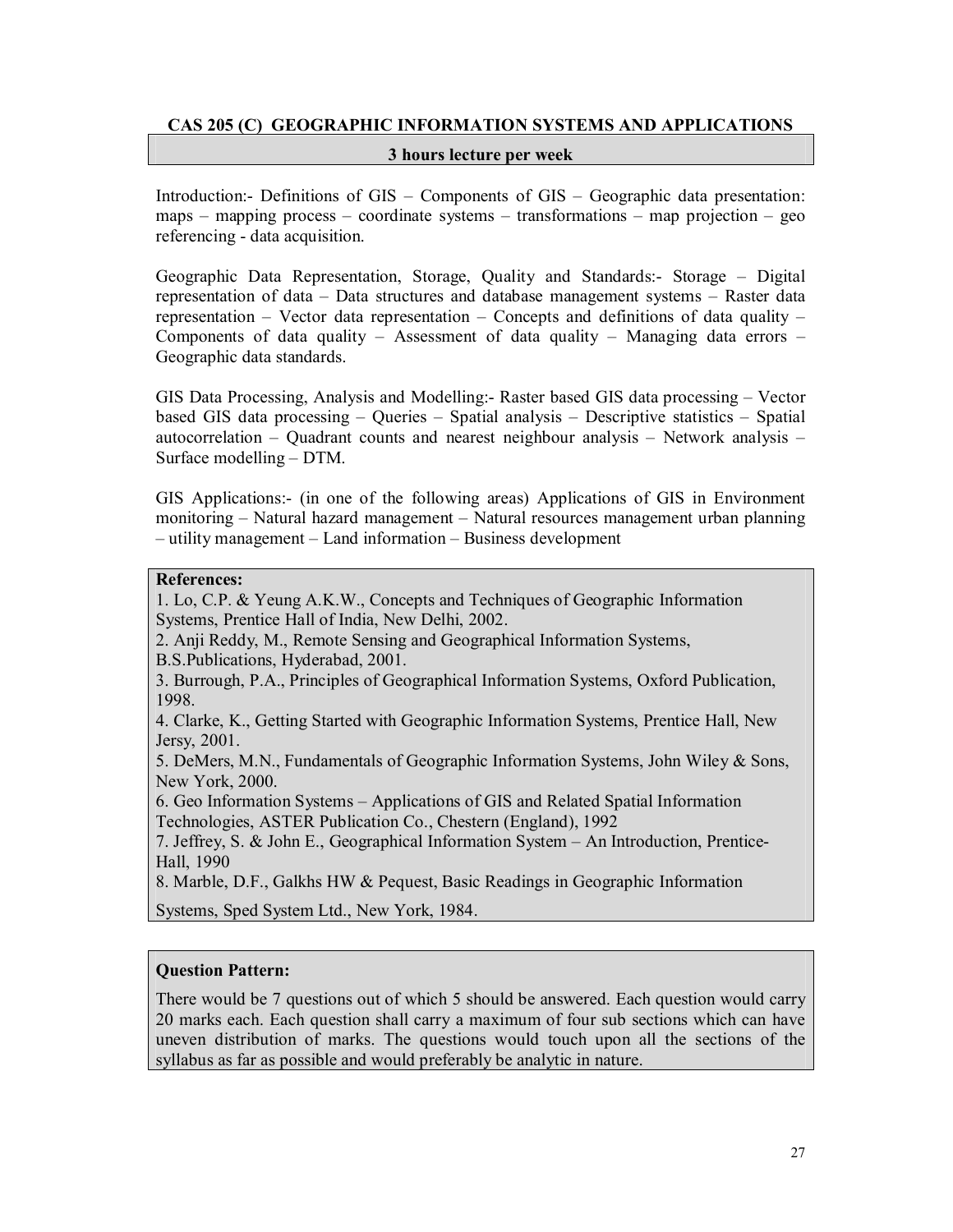# **CAS 205 (C) GEOGRAPHIC INFORMATION SYSTEMS AND APPLICATIONS**

#### **3 hours lecture per week**

Introduction:- Definitions of GIS – Components of GIS – Geographic data presentation: maps – mapping process – coordinate systems – transformations – map projection – geo referencing - data acquisition.

Geographic Data Representation, Storage, Quality and Standards:- Storage – Digital representation of data – Data structures and database management systems – Raster data representation – Vector data representation – Concepts and definitions of data quality – Components of data quality – Assessment of data quality – Managing data errors – Geographic data standards.

GIS Data Processing, Analysis and Modelling:- Raster based GIS data processing – Vector based GIS data processing – Queries – Spatial analysis – Descriptive statistics – Spatial autocorrelation – Quadrant counts and nearest neighbour analysis – Network analysis – Surface modelling – DTM.

GIS Applications:- (in one of the following areas) Applications of GIS in Environment monitoring – Natural hazard management – Natural resources management urban planning – utility management – Land information – Business development

# **References:**

1. Lo, C.P. & Yeung A.K.W., Concepts and Techniques of Geographic Information Systems, Prentice Hall of India, New Delhi, 2002.

2. Anji Reddy, M., Remote Sensing and Geographical Information Systems,

B.S.Publications, Hyderabad, 2001.

3. Burrough, P.A., Principles of Geographical Information Systems, Oxford Publication, 1998.

4. Clarke, K., Getting Started with Geographic Information Systems, Prentice Hall, New Jersy, 2001.

5. DeMers, M.N., Fundamentals of Geographic Information Systems, John Wiley & Sons, New York, 2000.

6. Geo Information Systems – Applications of GIS and Related Spatial Information Technologies, ASTER Publication Co., Chestern (England), 1992

7. Jeffrey, S. & John E., Geographical Information System – An Introduction, Prentice-Hall, 1990

8. Marble, D.F., Galkhs HW & Pequest, Basic Readings in Geographic Information

Systems, Sped System Ltd., New York, 1984.

# **Question Pattern:**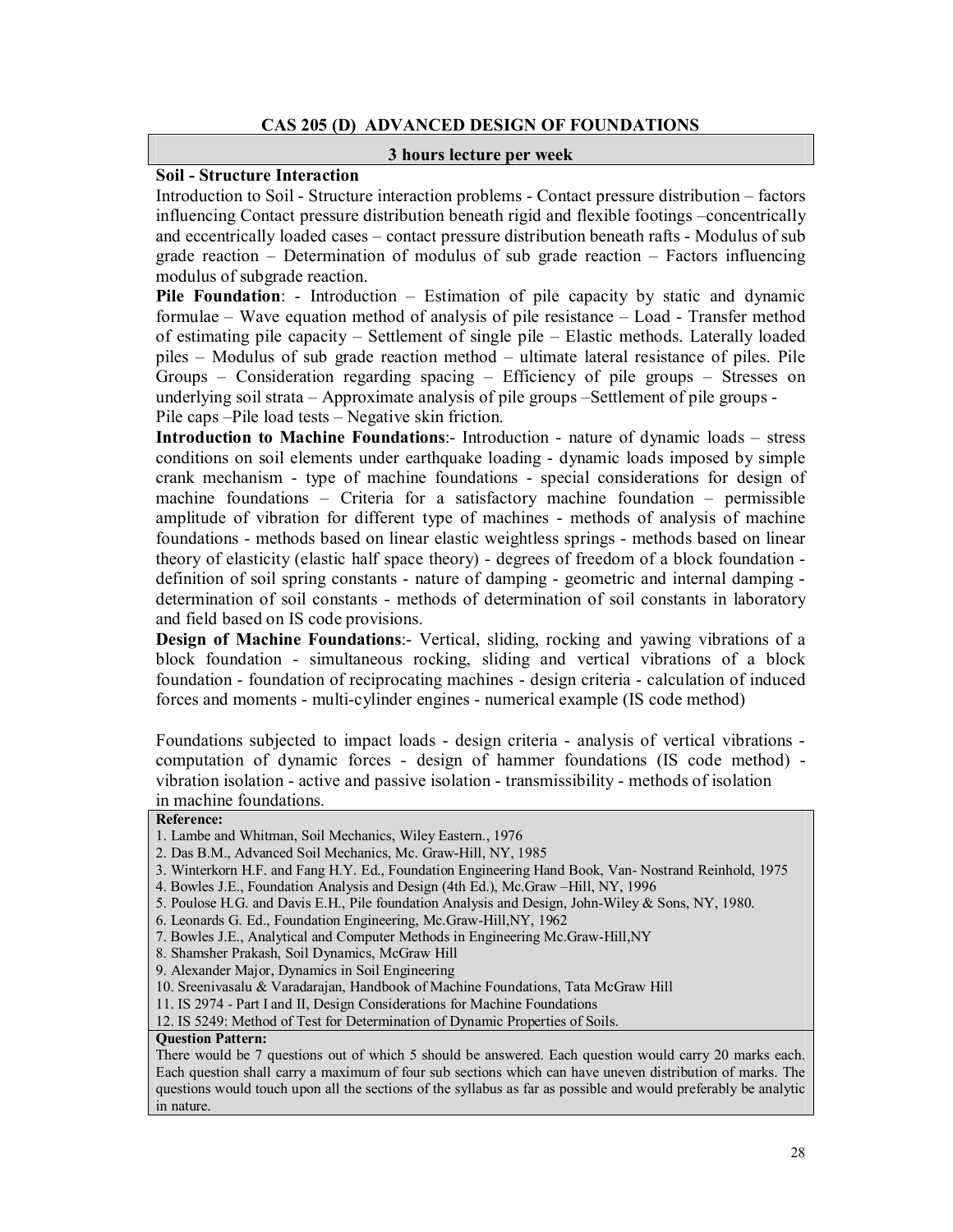# **CAS 205 (D) ADVANCED DESIGN OF FOUNDATIONS**

#### **3 hours lecture per week**

#### **Soil - Structure Interaction**

Introduction to Soil - Structure interaction problems - Contact pressure distribution – factors influencing Contact pressure distribution beneath rigid and flexible footings –concentrically and eccentrically loaded cases – contact pressure distribution beneath rafts - Modulus of sub grade reaction – Determination of modulus of sub grade reaction – Factors influencing modulus of subgrade reaction.

**Pile Foundation**: - Introduction – Estimation of pile capacity by static and dynamic formulae – Wave equation method of analysis of pile resistance – Load - Transfer method of estimating pile capacity – Settlement of single pile – Elastic methods. Laterally loaded piles – Modulus of sub grade reaction method – ultimate lateral resistance of piles. Pile Groups – Consideration regarding spacing – Efficiency of pile groups – Stresses on underlying soil strata – Approximate analysis of pile groups –Settlement of pile groups - Pile caps –Pile load tests – Negative skin friction.

**Introduction to Machine Foundations**:- Introduction - nature of dynamic loads – stress conditions on soil elements under earthquake loading - dynamic loads imposed by simple crank mechanism - type of machine foundations - special considerations for design of machine foundations – Criteria for a satisfactory machine foundation – permissible amplitude of vibration for different type of machines - methods of analysis of machine foundations - methods based on linear elastic weightless springs - methods based on linear theory of elasticity (elastic half space theory) - degrees of freedom of a block foundation definition of soil spring constants - nature of damping - geometric and internal damping determination of soil constants - methods of determination of soil constants in laboratory and field based on IS code provisions.

**Design of Machine Foundations:**- Vertical, sliding, rocking and yawing vibrations of a block foundation - simultaneous rocking, sliding and vertical vibrations of a block foundation - foundation of reciprocating machines - design criteria - calculation of induced forces and moments - multi-cylinder engines - numerical example (IS code method)

Foundations subjected to impact loads - design criteria - analysis of vertical vibrations computation of dynamic forces - design of hammer foundations (IS code method) vibration isolation - active and passive isolation - transmissibility - methods of isolation in machine foundations.

#### **Reference:**

4. Bowles J.E., Foundation Analysis and Design (4th Ed.), Mc.Graw –Hill, NY, 1996

- 6. Leonards G. Ed., Foundation Engineering, Mc.Graw-Hill,NY, 1962
- 7. Bowles J.E., Analytical and Computer Methods in Engineering Mc.Graw-Hill,NY
- 8. Shamsher Prakash, Soil Dynamics, McGraw Hill
- 9. Alexander Major, Dynamics in Soil Engineering
- 10. Sreenivasalu & Varadarajan, Handbook of Machine Foundations, Tata McGraw Hill

11. IS 2974 - Part I and II, Design Considerations for Machine Foundations

12. IS 5249: Method of Test for Determination of Dynamic Properties of Soils.

#### **Question Pattern:**

<sup>1.</sup> Lambe and Whitman, Soil Mechanics, Wiley Eastern., 1976

<sup>2.</sup> Das B.M., Advanced Soil Mechanics, Mc. Graw-Hill, NY, 1985

<sup>3.</sup> Winterkorn H.F. and Fang H.Y. Ed., Foundation Engineering Hand Book, Van- Nostrand Reinhold, 1975

<sup>5.</sup> Poulose H.G. and Davis E.H., Pile foundation Analysis and Design, John-Wiley & Sons, NY, 1980.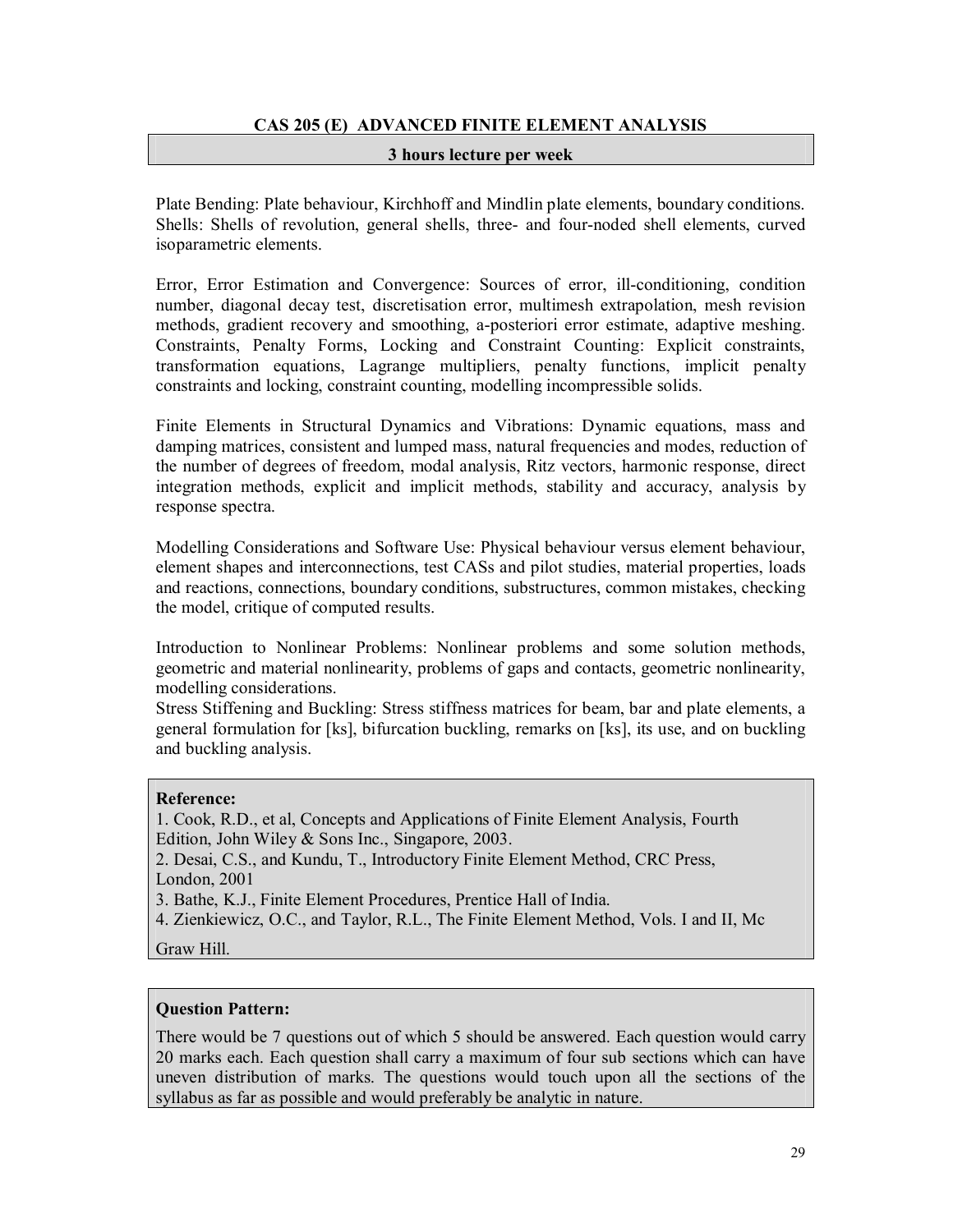# **CAS 205 (E) ADVANCED FINITE ELEMENT ANALYSIS**

#### **3 hours lecture per week**

Plate Bending: Plate behaviour, Kirchhoff and Mindlin plate elements, boundary conditions. Shells: Shells of revolution, general shells, three- and four-noded shell elements, curved isoparametric elements.

Error, Error Estimation and Convergence: Sources of error, ill-conditioning, condition number, diagonal decay test, discretisation error, multimesh extrapolation, mesh revision methods, gradient recovery and smoothing, a-posteriori error estimate, adaptive meshing. Constraints, Penalty Forms, Locking and Constraint Counting: Explicit constraints, transformation equations, Lagrange multipliers, penalty functions, implicit penalty constraints and locking, constraint counting, modelling incompressible solids.

Finite Elements in Structural Dynamics and Vibrations: Dynamic equations, mass and damping matrices, consistent and lumped mass, natural frequencies and modes, reduction of the number of degrees of freedom, modal analysis, Ritz vectors, harmonic response, direct integration methods, explicit and implicit methods, stability and accuracy, analysis by response spectra.

Modelling Considerations and Software Use: Physical behaviour versus element behaviour, element shapes and interconnections, test CASs and pilot studies, material properties, loads and reactions, connections, boundary conditions, substructures, common mistakes, checking the model, critique of computed results.

Introduction to Nonlinear Problems: Nonlinear problems and some solution methods, geometric and material nonlinearity, problems of gaps and contacts, geometric nonlinearity, modelling considerations.

Stress Stiffening and Buckling: Stress stiffness matrices for beam, bar and plate elements, a general formulation for [ks], bifurcation buckling, remarks on [ks], its use, and on buckling and buckling analysis.

#### **Reference:**

1. Cook, R.D., et al, Concepts and Applications of Finite Element Analysis, Fourth Edition, John Wiley & Sons Inc., Singapore, 2003.

2. Desai, C.S., and Kundu, T., Introductory Finite Element Method, CRC Press, London, 2001

3. Bathe, K.J., Finite Element Procedures, Prentice Hall of India.

4. Zienkiewicz, O.C., and Taylor, R.L., The Finite Element Method, Vols. I and II, Mc

Graw Hill.

#### **Question Pattern:**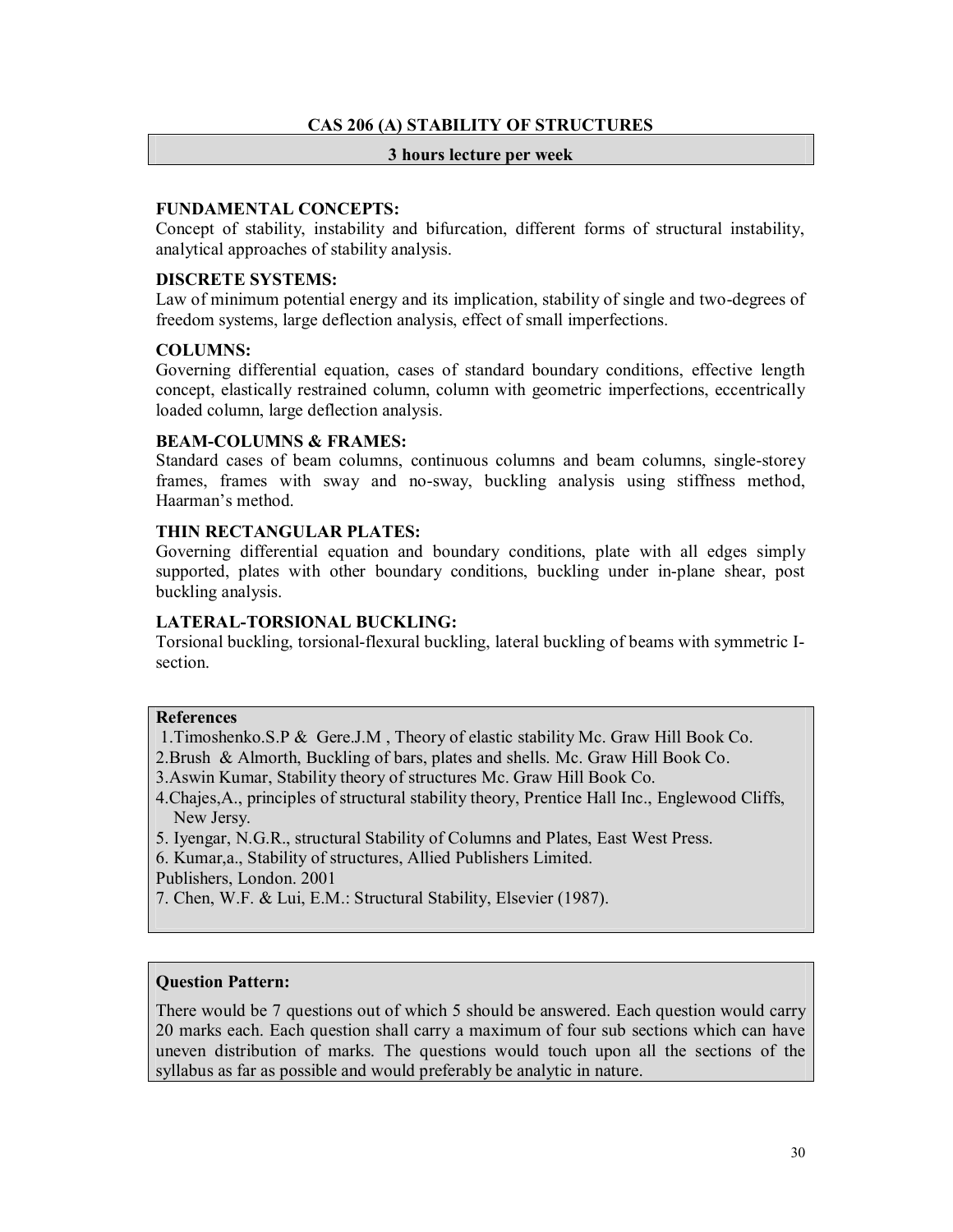# **CAS 206 (A) STABILITY OF STRUCTURES**

#### **3 hours lecture per week**

# **FUNDAMENTAL CONCEPTS:**

Concept of stability, instability and bifurcation, different forms of structural instability, analytical approaches of stability analysis.

# **DISCRETE SYSTEMS:**

Law of minimum potential energy and its implication, stability of single and two-degrees of freedom systems, large deflection analysis, effect of small imperfections.

# **COLUMNS:**

Governing differential equation, cases of standard boundary conditions, effective length concept, elastically restrained column, column with geometric imperfections, eccentrically loaded column, large deflection analysis.

# **BEAM-COLUMNS & FRAMES:**

Standard cases of beam columns, continuous columns and beam columns, single-storey frames, frames with sway and no-sway, buckling analysis using stiffness method, Haarman's method.

# **THIN RECTANGULAR PLATES:**

Governing differential equation and boundary conditions, plate with all edges simply supported, plates with other boundary conditions, buckling under in-plane shear, post buckling analysis.

#### **LATERAL-TORSIONAL BUCKLING:**

Torsional buckling, torsional-flexural buckling, lateral buckling of beams with symmetric Isection.

#### **References**

1.Timoshenko.S.P & Gere.J.M , Theory of elastic stability Mc. Graw Hill Book Co.

2.Brush & Almorth, Buckling of bars, plates and shells. Mc. Graw Hill Book Co.

3.Aswin Kumar, Stability theory of structures Mc. Graw Hill Book Co.

4.Chajes,A., principles of structural stability theory, Prentice Hall Inc., Englewood Cliffs, New Jersy.

5. Iyengar, N.G.R., structural Stability of Columns and Plates, East West Press.

6. Kumar,a., Stability of structures, Allied Publishers Limited.

Publishers, London. 2001

7. Chen, W.F. & Lui, E.M.: Structural Stability, Elsevier (1987).

# **Question Pattern:**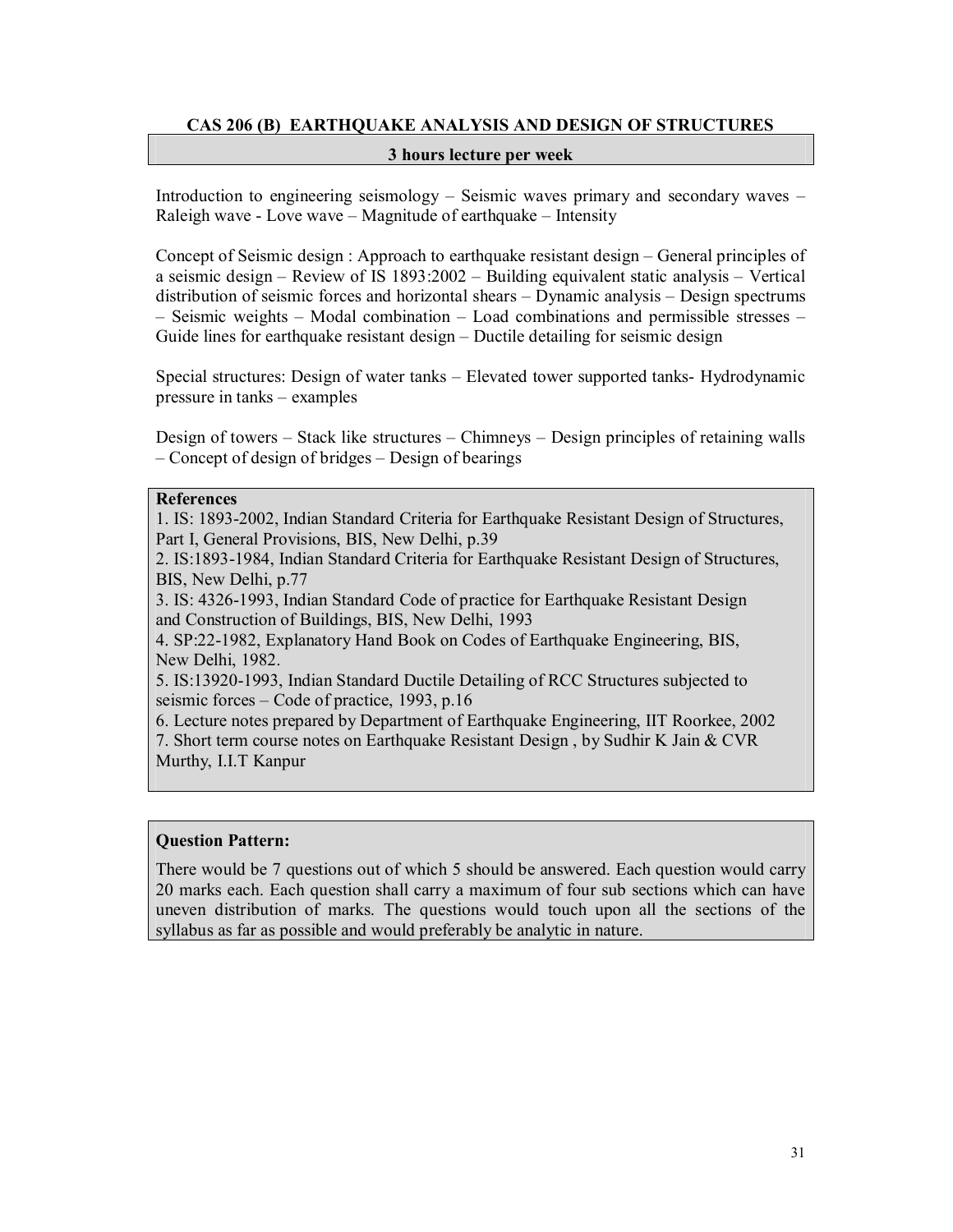# **CAS 206 (B) EARTHQUAKE ANALYSIS AND DESIGN OF STRUCTURES**

#### **3 hours lecture per week**

Introduction to engineering seismology – Seismic waves primary and secondary waves – Raleigh wave - Love wave – Magnitude of earthquake – Intensity

Concept of Seismic design : Approach to earthquake resistant design – General principles of a seismic design – Review of IS 1893:2002 – Building equivalent static analysis – Vertical distribution of seismic forces and horizontal shears – Dynamic analysis – Design spectrums – Seismic weights – Modal combination – Load combinations and permissible stresses – Guide lines for earthquake resistant design – Ductile detailing for seismic design

Special structures: Design of water tanks – Elevated tower supported tanks- Hydrodynamic pressure in tanks – examples

Design of towers – Stack like structures – Chimneys – Design principles of retaining walls – Concept of design of bridges – Design of bearings

#### **References**

1. IS: 1893-2002, Indian Standard Criteria for Earthquake Resistant Design of Structures, Part I, General Provisions, BIS, New Delhi, p.39

2. IS:1893-1984, Indian Standard Criteria for Earthquake Resistant Design of Structures, BIS, New Delhi, p.77

3. IS: 4326-1993, Indian Standard Code of practice for Earthquake Resistant Design and Construction of Buildings, BIS, New Delhi, 1993

4. SP:22-1982, Explanatory Hand Book on Codes of Earthquake Engineering, BIS, New Delhi, 1982.

5. IS:13920-1993, Indian Standard Ductile Detailing of RCC Structures subjected to seismic forces – Code of practice, 1993, p.16

6. Lecture notes prepared by Department of Earthquake Engineering, IIT Roorkee, 2002 7. Short term course notes on Earthquake Resistant Design , by Sudhir K Jain & CVR Murthy, I.I.T Kanpur

# **Question Pattern:**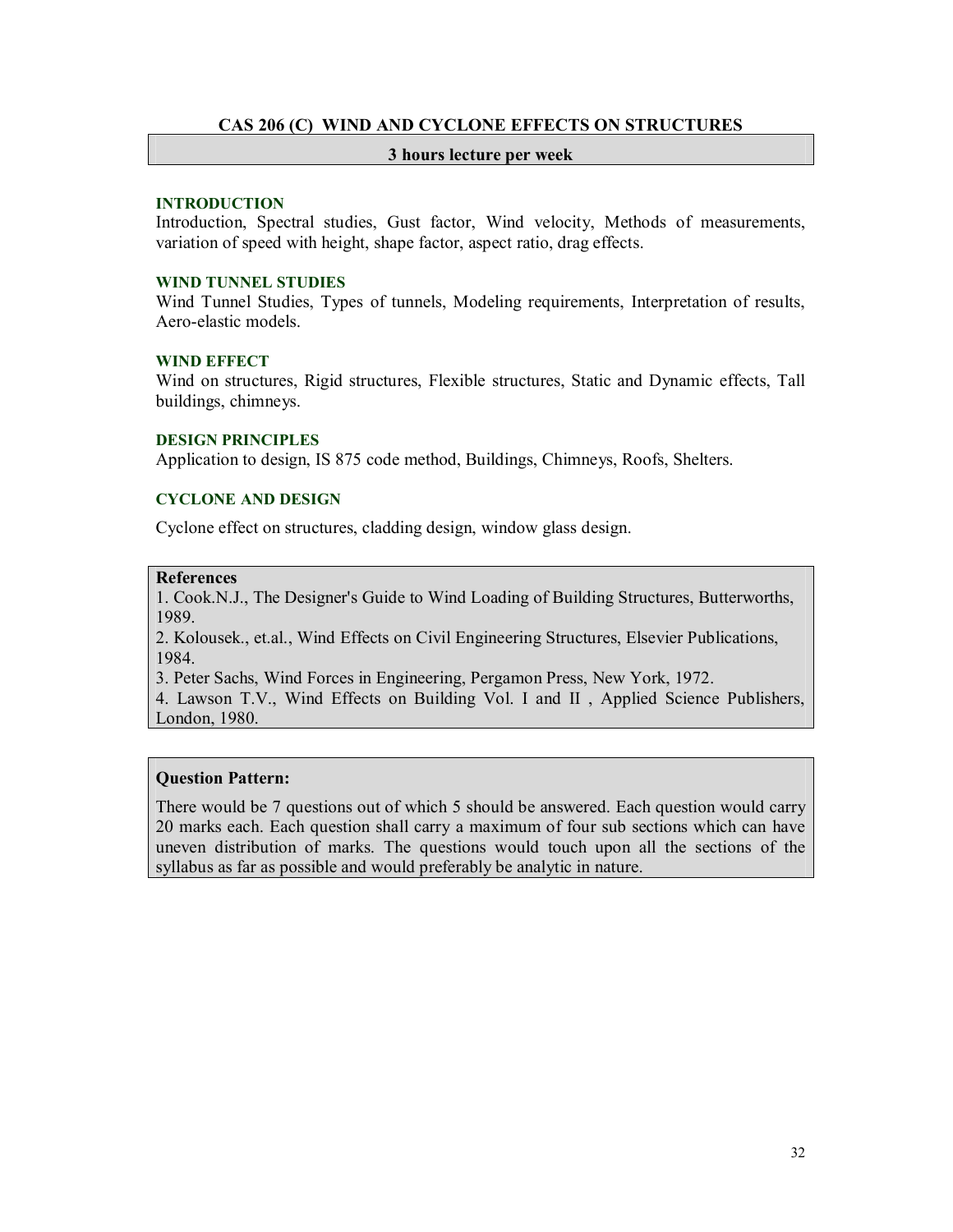# **CAS 206 (C) WIND AND CYCLONE EFFECTS ON STRUCTURES**

#### **3 hours lecture per week**

#### **INTRODUCTION**

Introduction, Spectral studies, Gust factor, Wind velocity, Methods of measurements, variation of speed with height, shape factor, aspect ratio, drag effects.

# **WIND TUNNEL STUDIES**

Wind Tunnel Studies, Types of tunnels, Modeling requirements, Interpretation of results, Aero-elastic models.

#### **WIND EFFECT**

Wind on structures, Rigid structures, Flexible structures, Static and Dynamic effects, Tall buildings, chimneys.

#### **DESIGN PRINCIPLES**

Application to design, IS 875 code method, Buildings, Chimneys, Roofs, Shelters.

# **CYCLONE AND DESIGN**

Cyclone effect on structures, cladding design, window glass design.

# **References**

1. Cook.N.J., The Designer's Guide to Wind Loading of Building Structures, Butterworths, 1989.

2. Kolousek., et.al., Wind Effects on Civil Engineering Structures, Elsevier Publications, 1984.

3. Peter Sachs, Wind Forces in Engineering, Pergamon Press, New York, 1972.

4. Lawson T.V., Wind Effects on Building Vol. I and II , Applied Science Publishers, London, 1980.

# **Question Pattern:**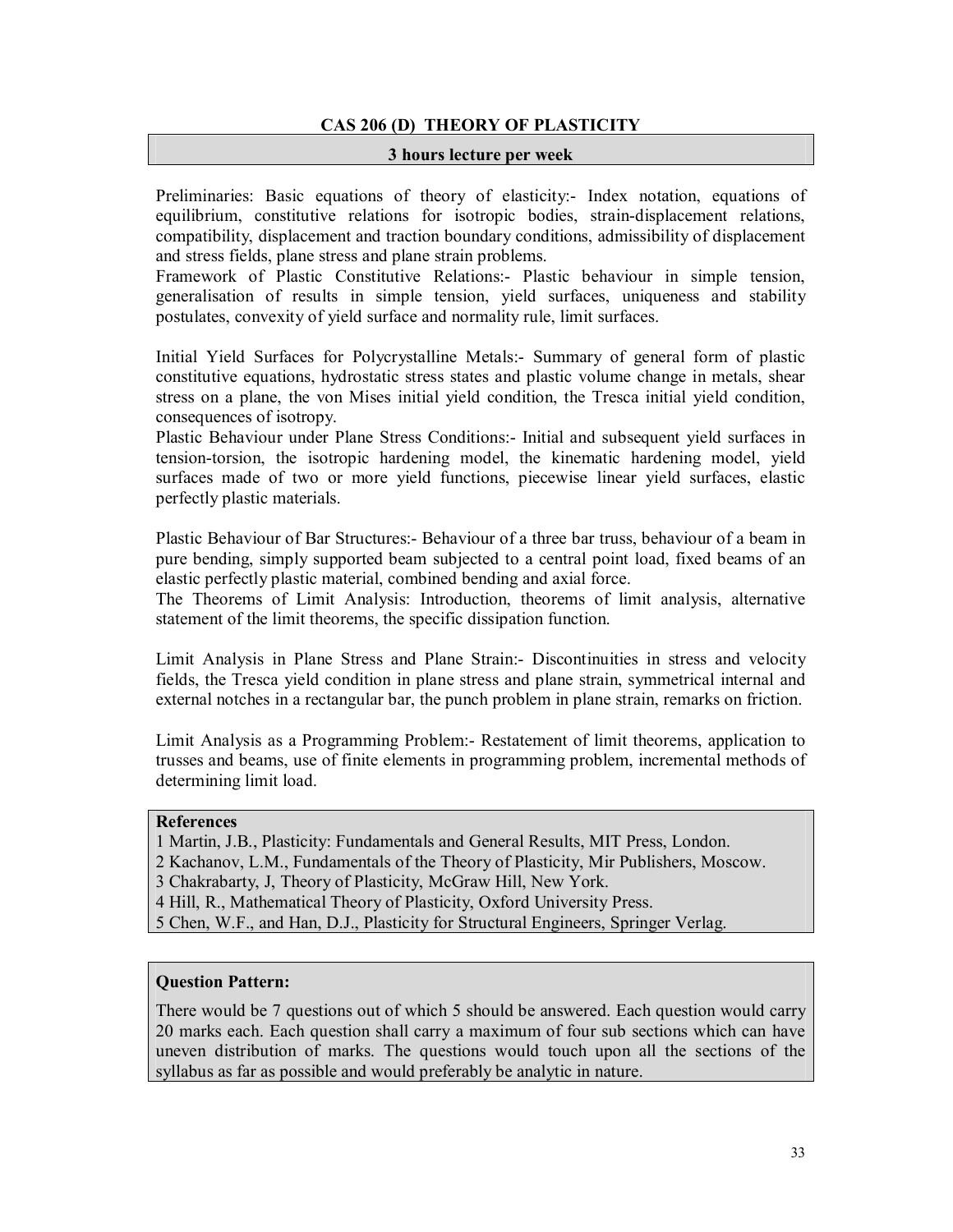# **CAS 206 (D) THEORY OF PLASTICITY**

#### **3 hours lecture per week**

Preliminaries: Basic equations of theory of elasticity:- Index notation, equations of equilibrium, constitutive relations for isotropic bodies, strain-displacement relations, compatibility, displacement and traction boundary conditions, admissibility of displacement and stress fields, plane stress and plane strain problems.

Framework of Plastic Constitutive Relations:- Plastic behaviour in simple tension, generalisation of results in simple tension, yield surfaces, uniqueness and stability postulates, convexity of yield surface and normality rule, limit surfaces.

Initial Yield Surfaces for Polycrystalline Metals:- Summary of general form of plastic constitutive equations, hydrostatic stress states and plastic volume change in metals, shear stress on a plane, the von Mises initial yield condition, the Tresca initial yield condition, consequences of isotropy.

Plastic Behaviour under Plane Stress Conditions:- Initial and subsequent yield surfaces in tension-torsion, the isotropic hardening model, the kinematic hardening model, yield surfaces made of two or more yield functions, piecewise linear yield surfaces, elastic perfectly plastic materials.

Plastic Behaviour of Bar Structures:- Behaviour of a three bar truss, behaviour of a beam in pure bending, simply supported beam subjected to a central point load, fixed beams of an elastic perfectly plastic material, combined bending and axial force.

The Theorems of Limit Analysis: Introduction, theorems of limit analysis, alternative statement of the limit theorems, the specific dissipation function.

Limit Analysis in Plane Stress and Plane Strain:- Discontinuities in stress and velocity fields, the Tresca yield condition in plane stress and plane strain, symmetrical internal and external notches in a rectangular bar, the punch problem in plane strain, remarks on friction.

Limit Analysis as a Programming Problem:- Restatement of limit theorems, application to trusses and beams, use of finite elements in programming problem, incremental methods of determining limit load.

# **References**

1 Martin, J.B., Plasticity: Fundamentals and General Results, MIT Press, London.

2 Kachanov, L.M., Fundamentals of the Theory of Plasticity, Mir Publishers, Moscow.

3 Chakrabarty, J, Theory of Plasticity, McGraw Hill, New York.

4 Hill, R., Mathematical Theory of Plasticity, Oxford University Press.

5 Chen, W.F., and Han, D.J., Plasticity for Structural Engineers, Springer Verlag.

# **Question Pattern:**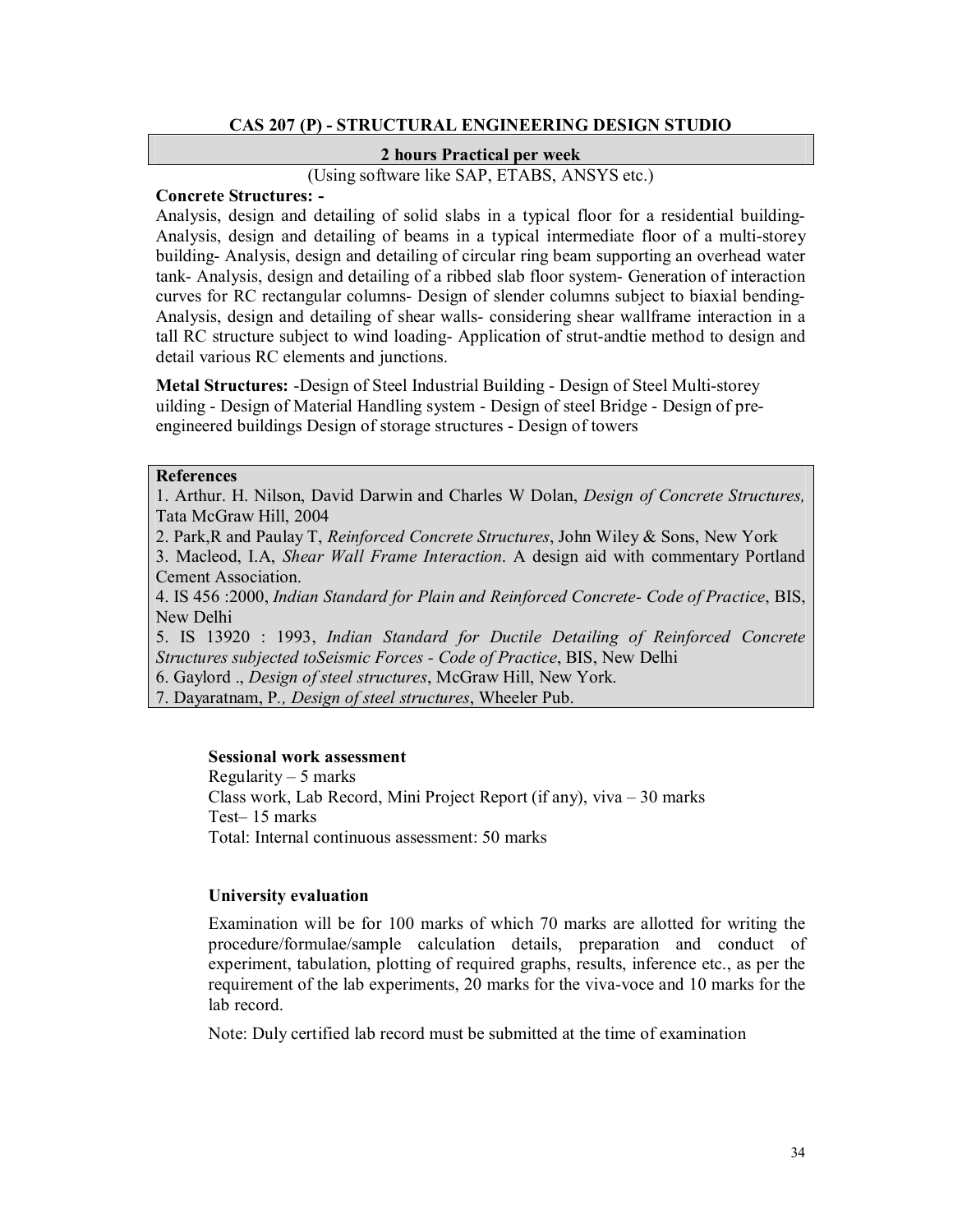# **CAS 207 (P) - STRUCTURAL ENGINEERING DESIGN STUDIO**

# **2 hours Practical per week**

(Using software like SAP, ETABS, ANSYS etc.)

# **Concrete Structures: -**

Analysis, design and detailing of solid slabs in a typical floor for a residential building-Analysis, design and detailing of beams in a typical intermediate floor of a multi-storey building- Analysis, design and detailing of circular ring beam supporting an overhead water tank- Analysis, design and detailing of a ribbed slab floor system- Generation of interaction curves for RC rectangular columns- Design of slender columns subject to biaxial bending-Analysis, design and detailing of shear walls- considering shear wallframe interaction in a tall RC structure subject to wind loading- Application of strut-andtie method to design and detail various RC elements and junctions.

**Metal Structures:** -Design of Steel Industrial Building - Design of Steel Multi-storey uilding - Design of Material Handling system - Design of steel Bridge - Design of preengineered buildings Design of storage structures - Design of towers

# **References**

1. Arthur. H. Nilson, David Darwin and Charles W Dolan, *Design of Concrete Structures,*  Tata McGraw Hill, 2004

2. Park,R and Paulay T, *Reinforced Concrete Structures*, John Wiley & Sons, New York

3. Macleod, I.A, *Shear Wall Frame Interaction*. A design aid with commentary Portland Cement Association.

4. IS 456 :2000, *Indian Standard for Plain and Reinforced Concrete- Code of Practice*, BIS, New Delhi

5. IS 13920 : 1993, *Indian Standard for Ductile Detailing of Reinforced Concrete Structures subjected toSeismic Forces - Code of Practice*, BIS, New Delhi

6. Gaylord ., *Design of steel structures*, McGraw Hill, New York.

7. Dayaratnam, P*., Design of steel structures*, Wheeler Pub.

#### **Sessional work assessment**

Regularity – 5 marks Class work, Lab Record, Mini Project Report (if any), viva – 30 marks Test– 15 marks Total: Internal continuous assessment: 50 marks

#### **University evaluation**

Examination will be for 100 marks of which 70 marks are allotted for writing the procedure/formulae/sample calculation details, preparation and conduct of experiment, tabulation, plotting of required graphs, results, inference etc., as per the requirement of the lab experiments, 20 marks for the viva-voce and 10 marks for the lab record.

Note: Duly certified lab record must be submitted at the time of examination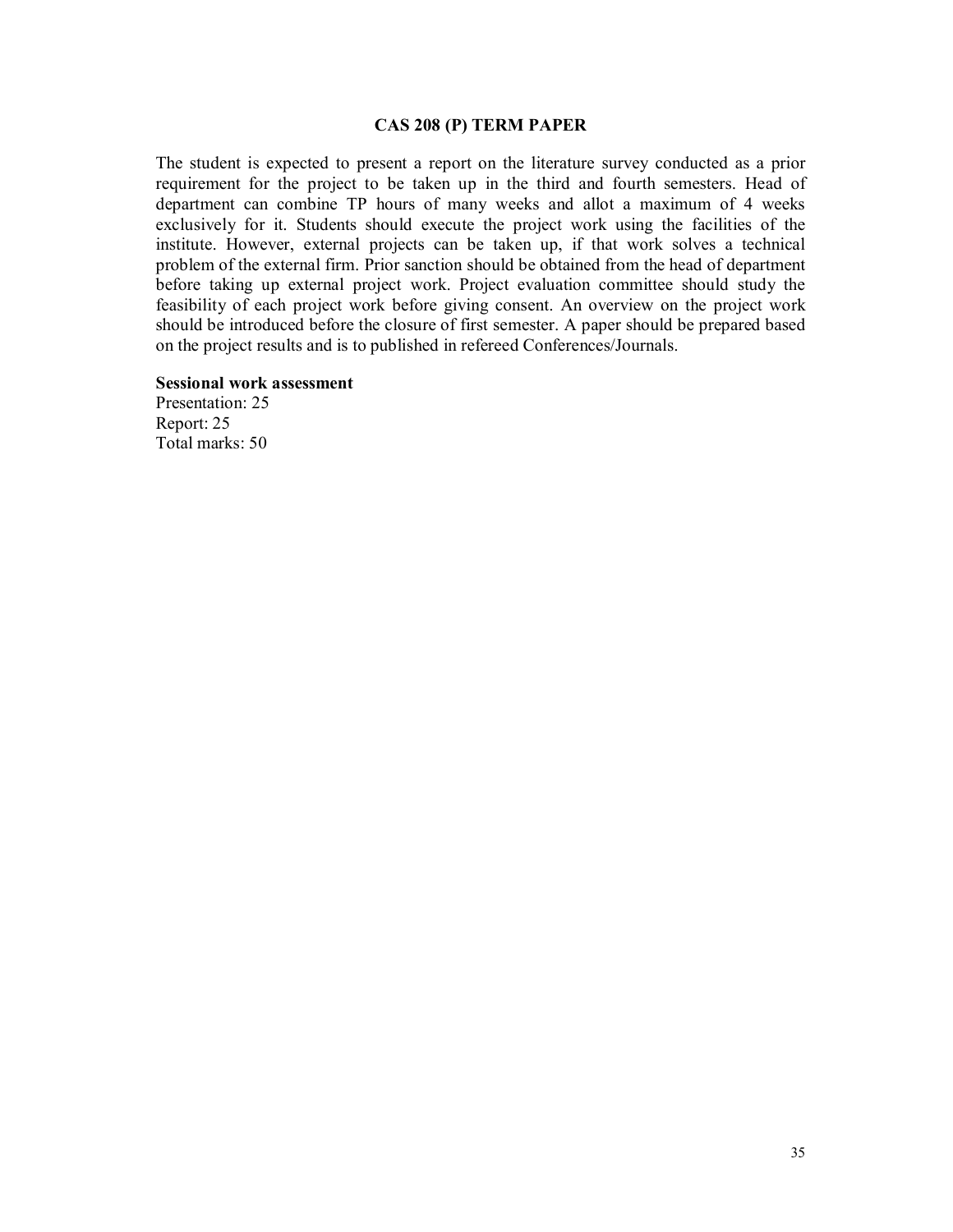#### **CAS 208 (P) TERM PAPER**

The student is expected to present a report on the literature survey conducted as a prior requirement for the project to be taken up in the third and fourth semesters. Head of department can combine TP hours of many weeks and allot a maximum of 4 weeks exclusively for it. Students should execute the project work using the facilities of the institute. However, external projects can be taken up, if that work solves a technical problem of the external firm. Prior sanction should be obtained from the head of department before taking up external project work. Project evaluation committee should study the feasibility of each project work before giving consent. An overview on the project work should be introduced before the closure of first semester. A paper should be prepared based on the project results and is to published in refereed Conferences/Journals.

#### **Sessional work assessment**

Presentation: 25 Report: 25 Total marks: 50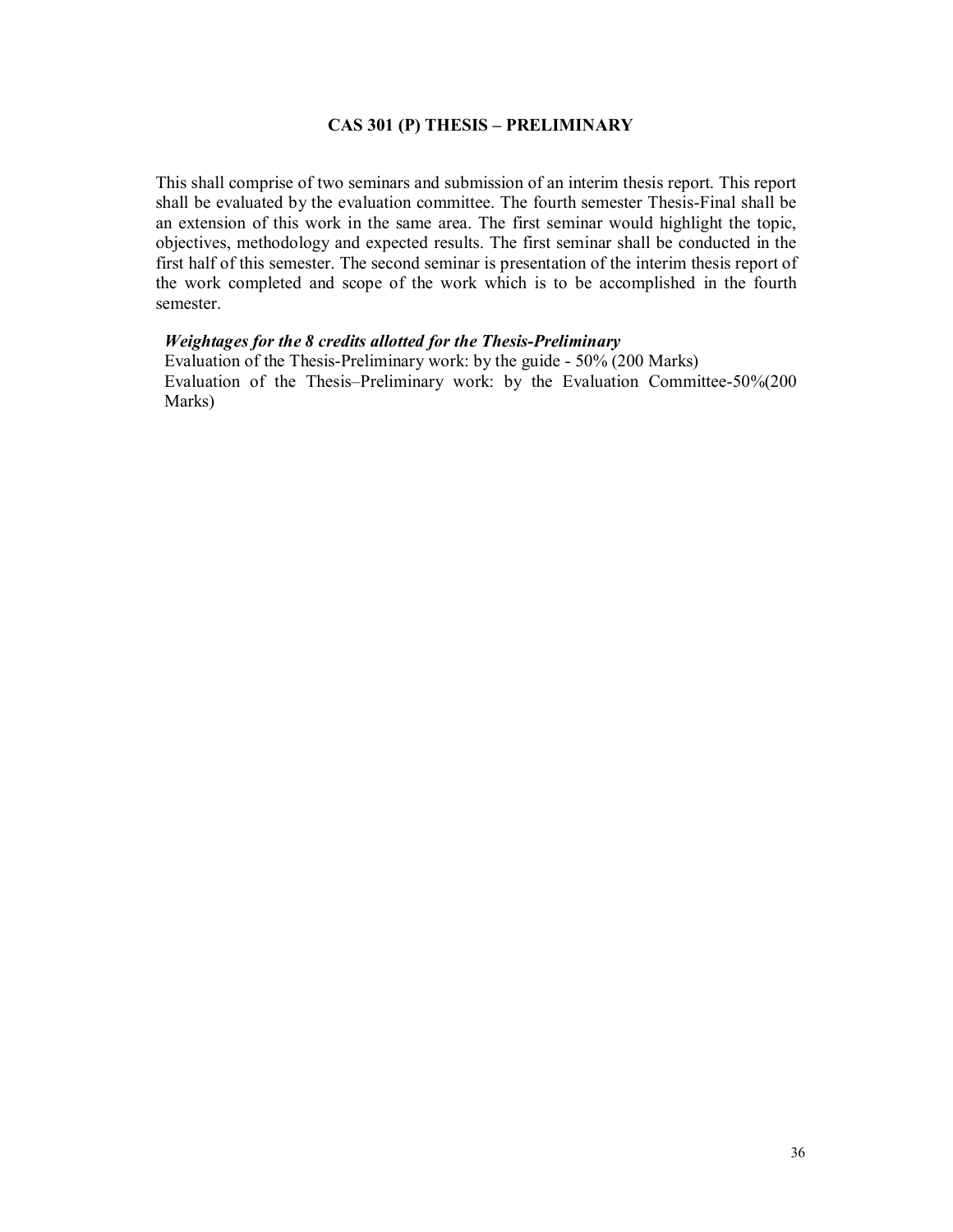# **CAS 301 (P) THESIS – PRELIMINARY**

This shall comprise of two seminars and submission of an interim thesis report. This report shall be evaluated by the evaluation committee. The fourth semester Thesis-Final shall be an extension of this work in the same area. The first seminar would highlight the topic, objectives, methodology and expected results. The first seminar shall be conducted in the first half of this semester. The second seminar is presentation of the interim thesis report of the work completed and scope of the work which is to be accomplished in the fourth semester.

# *Weightages for the 8 credits allotted for the Thesis-Preliminary*

Evaluation of the Thesis-Preliminary work: by the guide - 50% (200 Marks) Evaluation of the Thesis–Preliminary work: by the Evaluation Committee-50%(200 Marks)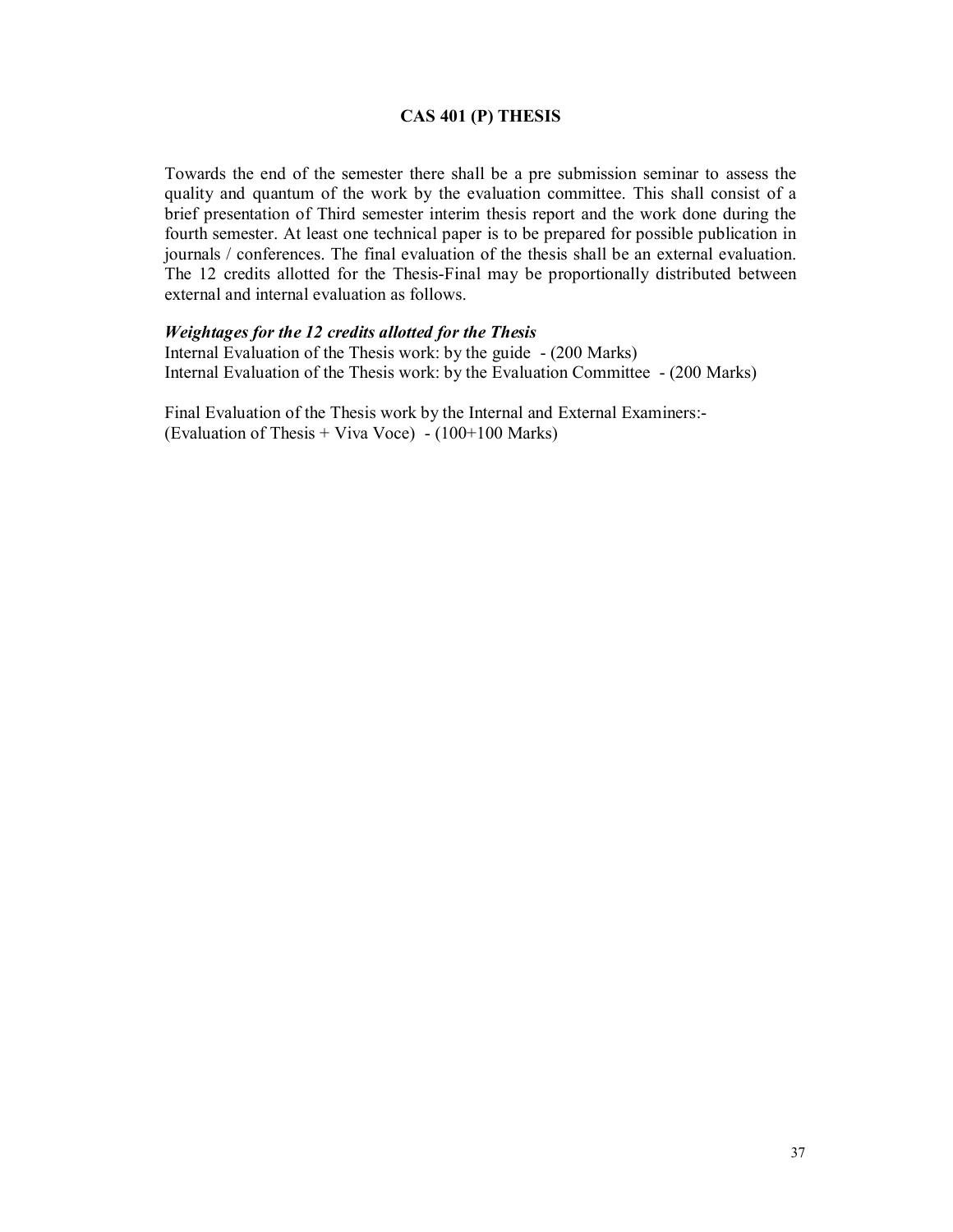# **CAS 401 (P) THESIS**

Towards the end of the semester there shall be a pre submission seminar to assess the quality and quantum of the work by the evaluation committee. This shall consist of a brief presentation of Third semester interim thesis report and the work done during the fourth semester. At least one technical paper is to be prepared for possible publication in journals / conferences. The final evaluation of the thesis shall be an external evaluation. The 12 credits allotted for the Thesis-Final may be proportionally distributed between external and internal evaluation as follows.

#### *Weightages for the 12 credits allotted for the Thesis*

Internal Evaluation of the Thesis work: by the guide - (200 Marks) Internal Evaluation of the Thesis work: by the Evaluation Committee - (200 Marks)

Final Evaluation of the Thesis work by the Internal and External Examiners:- (Evaluation of Thesis + Viva Voce)  $- (100+100 \text{ Marks})$